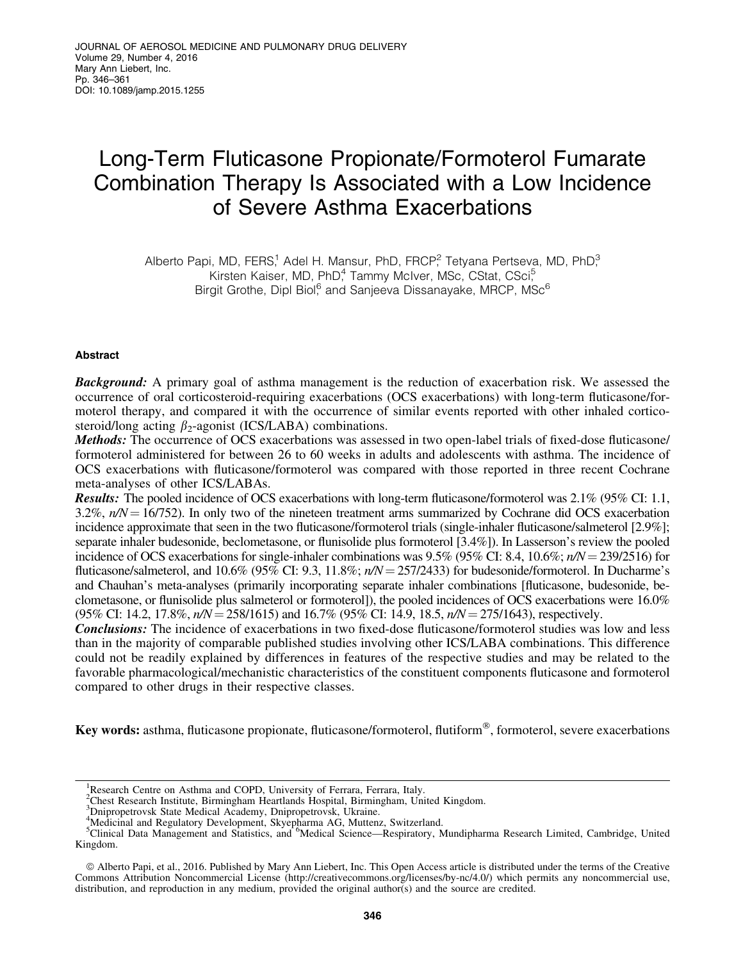# Long-Term Fluticasone Propionate/Formoterol Fumarate Combination Therapy Is Associated with a Low Incidence of Severe Asthma Exacerbations

Alberto Papi, MD, FERS,<sup>1</sup> Adel H. Mansur, PhD, FRCP<sup>2</sup>, Tetyana Pertseva, MD, PhD<sup>3</sup> Kirsten Kaiser, MD, PhD<sup>4</sup> Tammy McIver, MSc, CStat, CSci<sup>5</sup> Birgit Grothe, Dipl Biol,<sup>6</sup> and Sanjeeva Dissanayake, MRCP, MSc<sup>6</sup>

# Abstract

**Background:** A primary goal of asthma management is the reduction of exacerbation risk. We assessed the occurrence of oral corticosteroid-requiring exacerbations (OCS exacerbations) with long-term fluticasone/formoterol therapy, and compared it with the occurrence of similar events reported with other inhaled corticosteroid/long acting  $\beta_2$ -agonist (ICS/LABA) combinations.

Methods: The occurrence of OCS exacerbations was assessed in two open-label trials of fixed-dose fluticasone/ formoterol administered for between 26 to 60 weeks in adults and adolescents with asthma. The incidence of OCS exacerbations with fluticasone/formoterol was compared with those reported in three recent Cochrane meta-analyses of other ICS/LABAs.

Results: The pooled incidence of OCS exacerbations with long-term fluticasone/formoterol was 2.1% (95% CI: 1.1, 3.2%,  $n/N = 16/752$ ). In only two of the nineteen treatment arms summarized by Cochrane did OCS exacerbation incidence approximate that seen in the two fluticasone/formoterol trials (single-inhaler fluticasone/salmeterol [2.9%]; separate inhaler budesonide, beclometasone, or flunisolide plus formoterol [3.4%]). In Lasserson's review the pooled incidence of OCS exacerbations for single-inhaler combinations was  $9.5\%$  ( $95\%$  CI: 8.4,  $10.6\%$ ;  $n/N = 239/2516$ ) for fluticasone/salmeterol, and  $10.6\%$  (95% CI: 9.3,  $11.8\%$ ;  $n/N = 257/2433$ ) for budesonide/formoterol. In Ducharme's and Chauhan's meta-analyses (primarily incorporating separate inhaler combinations [fluticasone, budesonide, beclometasone, or flunisolide plus salmeterol or formoterol]), the pooled incidences of OCS exacerbations were 16.0%  $(95\% \text{ CI: } 14.2, 17.8\%, n/N = 258/1615)$  and  $16.7\%$   $(95\% \text{ CI: } 14.9, 18.5, n/N = 275/1643)$ , respectively.

Conclusions: The incidence of exacerbations in two fixed-dose fluticasone/formoterol studies was low and less than in the majority of comparable published studies involving other ICS/LABA combinations. This difference could not be readily explained by differences in features of the respective studies and may be related to the favorable pharmacological/mechanistic characteristics of the constituent components fluticasone and formoterol compared to other drugs in their respective classes.

Key words: asthma, fluticasone propionate, fluticasone/formoterol, flutiform®, formoterol, severe exacerbations

<sup>&</sup>lt;sup>1</sup>Research Centre on Asthma and COPD, University of Ferrara, Ferrara, Italy.

<sup>2</sup> Chest Research Institute, Birmingham Heartlands Hospital, Birmingham, United Kingdom. 3 Dnipropetrovsk State Medical Academy, Dnipropetrovsk, Ukraine.

<sup>&</sup>lt;sup>4</sup>Medicinal and Regulatory Development, Skyepharma AG, Muttenz, Switzerland.<br><sup>5</sup>Clinical Data Management and Statistics, and <sup>6</sup>Medical Science—Respiratory, Mundipharma Research Limited, Cambridge, United Kingdom.

ª Alberto Papi, et al., 2016. Published by Mary Ann Liebert, Inc. This Open Access article is distributed under the terms of the Creative Commons Attribution Noncommercial License (http://creativecommons.org/licenses/by-nc/4.0/) which permits any noncommercial use, distribution, and reproduction in any medium, provided the original author(s) and the source are credited.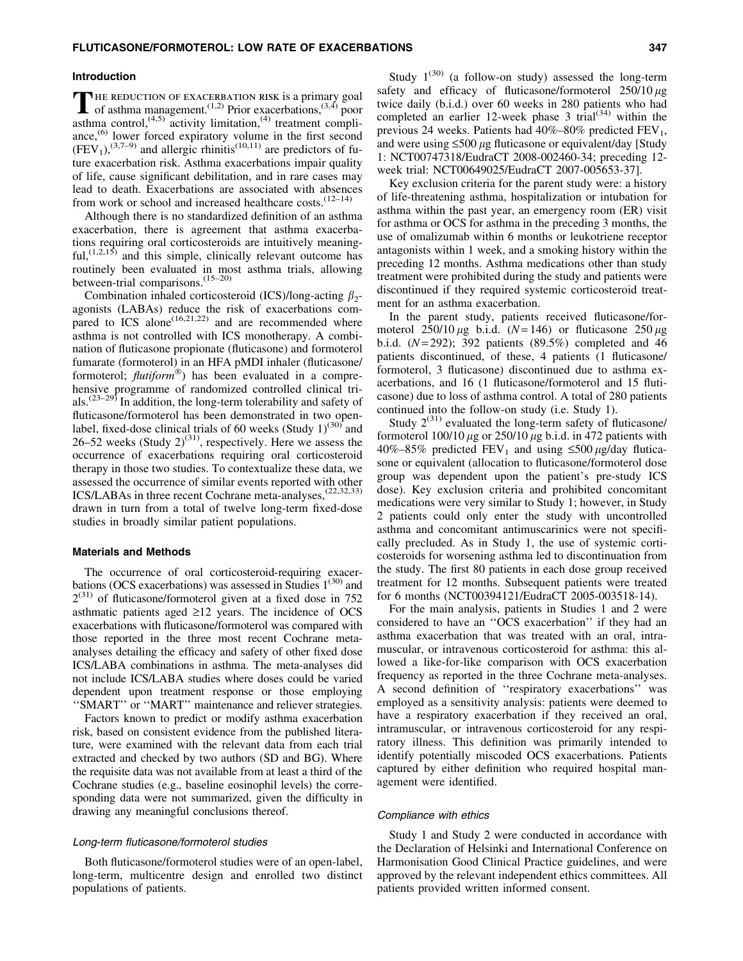## Introduction

THE REDUCTION OF EXACERBATION RISK is a primary goal<br>of asthma management.<sup>(1,2)</sup> Prior exacerbations,<sup>(3,4)</sup> poor asthma control,<sup> $(4,5)$ </sup> activity limitation, $(4)$  treatment compliance,<sup>(6)</sup> lower forced expiratory volume in the first second  $(FEV<sub>1</sub>),$ <sup>(3,7–9)</sup> and allergic rhinitis<sup>(10,11)</sup> are predictors of future exacerbation risk. Asthma exacerbations impair quality of life, cause significant debilitation, and in rare cases may lead to death. Exacerbations are associated with absences from work or school and increased healthcare costs. $(12-14)$ 

Although there is no standardized definition of an asthma exacerbation, there is agreement that asthma exacerbations requiring oral corticosteroids are intuitively meaning- $\text{ful}, (1,2,15)$  and this simple, clinically relevant outcome has routinely been evaluated in most asthma trials, allowing between-trial comparisons.<sup>(15–20)</sup>

Combination inhaled corticosteroid (ICS)/long-acting  $\beta_2$ agonists (LABAs) reduce the risk of exacerbations compared to  $\text{ICS}$  alone<sup>(16,21,22)</sup> and are recommended where asthma is not controlled with ICS monotherapy. A combination of fluticasone propionate (fluticasone) and formoterol fumarate (formoterol) in an HFA pMDI inhaler (fluticasone/ formoterol; *flutiform*-) has been evaluated in a comprehensive programme of randomized controlled clinical trials.<sup> $(23-29)$ </sup> In addition, the long-term tolerability and safety of fluticasone/formoterol has been demonstrated in two openlabel, fixed-dose clinical trials of 60 weeks (Study  $1$ )<sup>(30)</sup> and 26–52 weeks (Study  $2^{(31)}$ , respectively. Here we assess the occurrence of exacerbations requiring oral corticosteroid therapy in those two studies. To contextualize these data, we assessed the occurrence of similar events reported with other ICS/LABAs in three recent Cochrane meta-analyses,<sup>(22,32,33)</sup> drawn in turn from a total of twelve long-term fixed-dose studies in broadly similar patient populations.

# Materials and Methods

The occurrence of oral corticosteroid-requiring exacerbations (OCS exacerbations) was assessed in Studies  $1^{(30)}$  and  $2^{(31)}$  of fluticasone/formoterol given at a fixed dose in 752 asthmatic patients aged  $\geq 12$  years. The incidence of OCS exacerbations with fluticasone/formoterol was compared with those reported in the three most recent Cochrane metaanalyses detailing the efficacy and safety of other fixed dose ICS/LABA combinations in asthma. The meta-analyses did not include ICS/LABA studies where doses could be varied dependent upon treatment response or those employing ''SMART'' or ''MART'' maintenance and reliever strategies.

Factors known to predict or modify asthma exacerbation risk, based on consistent evidence from the published literature, were examined with the relevant data from each trial extracted and checked by two authors (SD and BG). Where the requisite data was not available from at least a third of the Cochrane studies (e.g., baseline eosinophil levels) the corresponding data were not summarized, given the difficulty in drawing any meaningful conclusions thereof.

## Long-term fluticasone/formoterol studies

Both fluticasone/formoterol studies were of an open-label, long-term, multicentre design and enrolled two distinct populations of patients.

Study  $1^{(30)}$  (a follow-on study) assessed the long-term safety and efficacy of fluticasone/formoterol  $250/10 \mu$ g twice daily (b.i.d.) over 60 weeks in 280 patients who had completed an earlier 12-week phase 3 trial<sup> $(34)$ </sup> within the previous 24 weeks. Patients had  $40\% - 80\%$  predicted FEV<sub>1</sub>, and were using  $\leq 500 \mu$ g fluticasone or equivalent/day [Study] 1: NCT00747318/EudraCT 2008-002460-34; preceding 12 week trial: NCT00649025/EudraCT 2007-005653-37].

Key exclusion criteria for the parent study were: a history of life-threatening asthma, hospitalization or intubation for asthma within the past year, an emergency room (ER) visit for asthma or OCS for asthma in the preceding 3 months, the use of omalizumab within 6 months or leukotriene receptor antagonists within 1 week, and a smoking history within the preceding 12 months. Asthma medications other than study treatment were prohibited during the study and patients were discontinued if they required systemic corticosteroid treatment for an asthma exacerbation.

In the parent study, patients received fluticasone/formoterol  $250/10 \mu$ g b.i.d. (*N* = 146) or fluticasone  $250 \mu$ g b.i.d.  $(N=292)$ ; 392 patients  $(89.5\%)$  completed and 46 patients discontinued, of these, 4 patients (1 fluticasone/ formoterol, 3 fluticasone) discontinued due to asthma exacerbations, and 16 (1 fluticasone/formoterol and 15 fluticasone) due to loss of asthma control. A total of 280 patients continued into the follow-on study (i.e. Study 1).

Study  $2^{(31)}$  evaluated the long-term safety of fluticasone/ formoterol  $100/10 \mu$ g or  $250/10 \mu$ g b.i.d. in 472 patients with 40%–85% predicted FEV<sub>1</sub> and using  $\leq$ 500  $\mu$ g/day fluticasone or equivalent (allocation to fluticasone/formoterol dose group was dependent upon the patient's pre-study ICS dose). Key exclusion criteria and prohibited concomitant medications were very similar to Study 1; however, in Study 2 patients could only enter the study with uncontrolled asthma and concomitant antimuscarinics were not specifically precluded. As in Study 1, the use of systemic corticosteroids for worsening asthma led to discontinuation from the study. The first 80 patients in each dose group received treatment for 12 months. Subsequent patients were treated for 6 months (NCT00394121/EudraCT 2005-003518-14).

For the main analysis, patients in Studies 1 and 2 were considered to have an ''OCS exacerbation'' if they had an asthma exacerbation that was treated with an oral, intramuscular, or intravenous corticosteroid for asthma: this allowed a like-for-like comparison with OCS exacerbation frequency as reported in the three Cochrane meta-analyses. A second definition of ''respiratory exacerbations'' was employed as a sensitivity analysis: patients were deemed to have a respiratory exacerbation if they received an oral, intramuscular, or intravenous corticosteroid for any respiratory illness. This definition was primarily intended to identify potentially miscoded OCS exacerbations. Patients captured by either definition who required hospital management were identified.

#### Compliance with ethics

Study 1 and Study 2 were conducted in accordance with the Declaration of Helsinki and International Conference on Harmonisation Good Clinical Practice guidelines, and were approved by the relevant independent ethics committees. All patients provided written informed consent.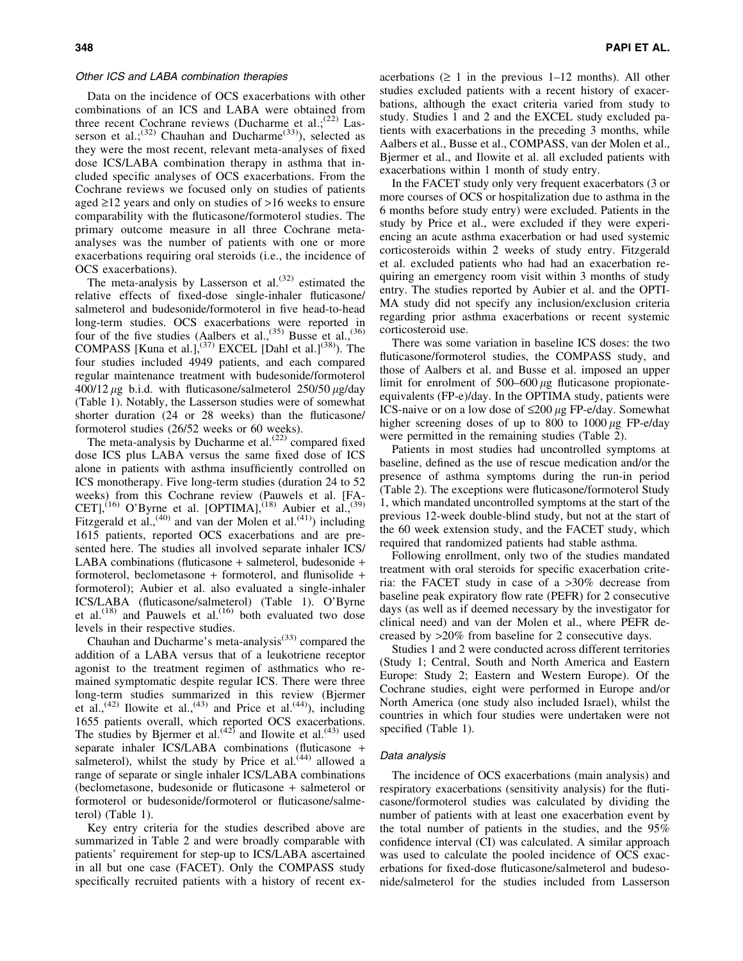## Other ICS and LABA combination therapies

Data on the incidence of OCS exacerbations with other combinations of an ICS and LABA were obtained from three recent Cochrane reviews (Ducharme et al.;<sup>(22)</sup> Lasserson et al.;<sup>(32)</sup> Chauhan and Ducharme<sup>(33)</sup>), selected as they were the most recent, relevant meta-analyses of fixed dose ICS/LABA combination therapy in asthma that included specific analyses of OCS exacerbations. From the Cochrane reviews we focused only on studies of patients aged  $\geq$ 12 years and only on studies of  $>$ 16 weeks to ensure comparability with the fluticasone/formoterol studies. The primary outcome measure in all three Cochrane metaanalyses was the number of patients with one or more exacerbations requiring oral steroids (i.e., the incidence of OCS exacerbations).

The meta-analysis by Lasserson et al. $(32)$  estimated the relative effects of fixed-dose single-inhaler fluticasone/ salmeterol and budesonide/formoterol in five head-to-head long-term studies. OCS exacerbations were reported in four of the five studies (Aalbers et al.,<sup>(35)</sup> Busse et al.,<sup>(36)</sup> COMPASS [Kuna et al.],<sup>(37)</sup> EXCEL [Dahl et al.]<sup>(38)</sup>). The four studies included 4949 patients, and each compared regular maintenance treatment with budesonide/formoterol  $400/12 \mu$ g b.i.d. with fluticasone/salmeterol 250/50  $\mu$ g/day (Table 1). Notably, the Lasserson studies were of somewhat shorter duration (24 or 28 weeks) than the fluticasone/ formoterol studies (26/52 weeks or 60 weeks).

The meta-analysis by Ducharme et al. $(22)$  compared fixed dose ICS plus LABA versus the same fixed dose of ICS alone in patients with asthma insufficiently controlled on ICS monotherapy. Five long-term studies (duration 24 to 52 weeks) from this Cochrane review (Pauwels et al. [FA-CET],<sup>(16)</sup> O'Byrne et al. [OPTIMA],<sup>(18)</sup> Aubier et al.,<sup>(39)</sup> Fitzgerald et al.,<sup>(40)</sup> and van der Molen et al.<sup>(41)</sup>) including 1615 patients, reported OCS exacerbations and are presented here. The studies all involved separate inhaler ICS/ LABA combinations (fluticasone + salmeterol, budesonide + formoterol, beclometasone + formoterol, and flunisolide + formoterol); Aubier et al. also evaluated a single-inhaler ICS/LABA (fluticasone/salmeterol) (Table 1). O'Byrne et al.<sup>(18)</sup> and Pauwels et al.<sup>(16)</sup> both evaluated two dose levels in their respective studies.

Chauhan and Ducharme's meta-analysis $^{(33)}$  compared the addition of a LABA versus that of a leukotriene receptor agonist to the treatment regimen of asthmatics who remained symptomatic despite regular ICS. There were three long-term studies summarized in this review (Bjermer et al.,<sup>(42)</sup> Ilowite et al.,<sup>(43)</sup> and Price et al.<sup>(44)</sup>), including 1655 patients overall, which reported OCS exacerbations. The studies by Bjermer et al.<sup> $(42)$ </sup> and Ilowite et al.<sup> $(43)$ </sup> used separate inhaler ICS/LABA combinations (fluticasone + salmeterol), whilst the study by Price et  $al.^{(44)}$  allowed a range of separate or single inhaler ICS/LABA combinations (beclometasone, budesonide or fluticasone + salmeterol or formoterol or budesonide/formoterol or fluticasone/salmeterol) (Table 1).

Key entry criteria for the studies described above are summarized in Table 2 and were broadly comparable with patients' requirement for step-up to ICS/LABA ascertained in all but one case (FACET). Only the COMPASS study specifically recruited patients with a history of recent exacerbations  $( \geq 1$  in the previous 1–12 months). All other studies excluded patients with a recent history of exacerbations, although the exact criteria varied from study to study. Studies 1 and 2 and the EXCEL study excluded patients with exacerbations in the preceding 3 months, while Aalbers et al., Busse et al., COMPASS, van der Molen et al., Bjermer et al., and Ilowite et al. all excluded patients with exacerbations within 1 month of study entry.

In the FACET study only very frequent exacerbators (3 or more courses of OCS or hospitalization due to asthma in the 6 months before study entry) were excluded. Patients in the study by Price et al., were excluded if they were experiencing an acute asthma exacerbation or had used systemic corticosteroids within 2 weeks of study entry. Fitzgerald et al. excluded patients who had had an exacerbation requiring an emergency room visit within 3 months of study entry. The studies reported by Aubier et al. and the OPTI-MA study did not specify any inclusion/exclusion criteria regarding prior asthma exacerbations or recent systemic corticosteroid use.

There was some variation in baseline ICS doses: the two fluticasone/formoterol studies, the COMPASS study, and those of Aalbers et al. and Busse et al. imposed an upper limit for enrolment of  $500-600 \mu$ g fluticasone propionateequivalents (FP-e)/day. In the OPTIMA study, patients were ICS-naive or on a low dose of  $\leq 200 \mu$ g FP-e/day. Somewhat higher screening doses of up to 800 to 1000  $\mu$ g FP-e/day were permitted in the remaining studies (Table 2).

Patients in most studies had uncontrolled symptoms at baseline, defined as the use of rescue medication and/or the presence of asthma symptoms during the run-in period (Table 2). The exceptions were fluticasone/formoterol Study 1, which mandated uncontrolled symptoms at the start of the previous 12-week double-blind study, but not at the start of the 60 week extension study, and the FACET study, which required that randomized patients had stable asthma.

Following enrollment, only two of the studies mandated treatment with oral steroids for specific exacerbation criteria: the FACET study in case of a >30% decrease from baseline peak expiratory flow rate (PEFR) for 2 consecutive days (as well as if deemed necessary by the investigator for clinical need) and van der Molen et al., where PEFR decreased by >20% from baseline for 2 consecutive days.

Studies 1 and 2 were conducted across different territories (Study 1; Central, South and North America and Eastern Europe: Study 2; Eastern and Western Europe). Of the Cochrane studies, eight were performed in Europe and/or North America (one study also included Israel), whilst the countries in which four studies were undertaken were not specified (Table 1).

## Data analysis

The incidence of OCS exacerbations (main analysis) and respiratory exacerbations (sensitivity analysis) for the fluticasone/formoterol studies was calculated by dividing the number of patients with at least one exacerbation event by the total number of patients in the studies, and the 95% confidence interval (CI) was calculated. A similar approach was used to calculate the pooled incidence of OCS exacerbations for fixed-dose fluticasone/salmeterol and budesonide/salmeterol for the studies included from Lasserson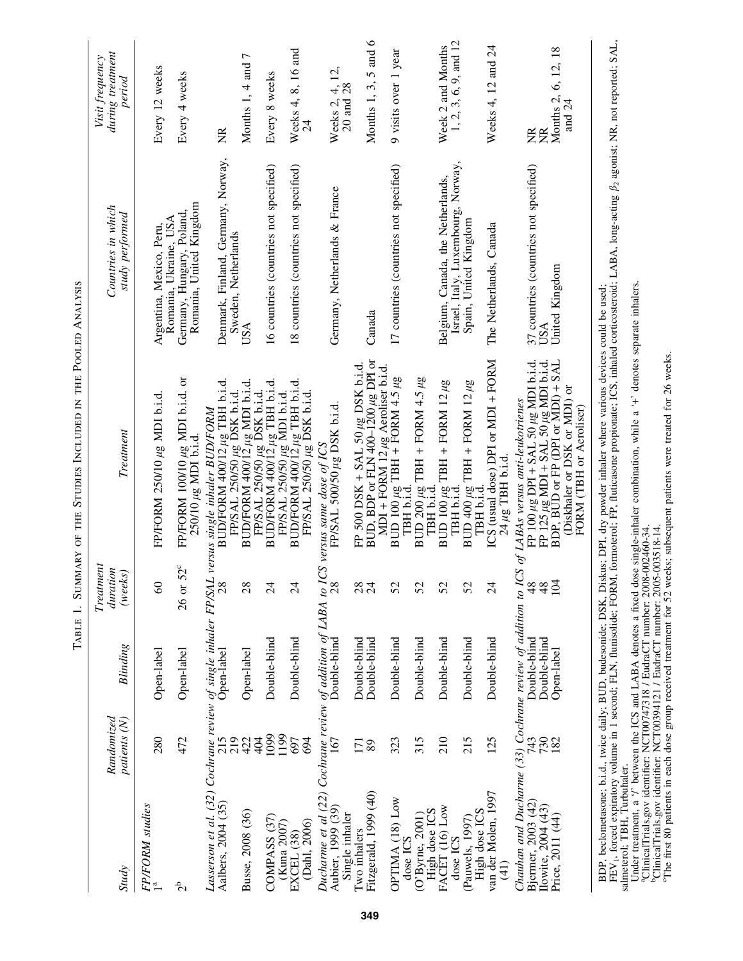| <b>Study</b>                                                                                        | Randomized<br>patients (N) | <b>Blinding</b>              | Treatment<br>duration<br>(weeks) | Treatment                                                                                                                                                                    | Countries in which<br>study performed                                   | during treatment<br>Visit frequency<br>period |
|-----------------------------------------------------------------------------------------------------|----------------------------|------------------------------|----------------------------------|------------------------------------------------------------------------------------------------------------------------------------------------------------------------------|-------------------------------------------------------------------------|-----------------------------------------------|
| FP/FORM studies                                                                                     | 280                        | Open-label                   | $\degree$                        | FP/FORM 250/10 µg MDI b.i.d                                                                                                                                                  | Romania, Ukraine, USA<br>Argentina, Mexico, Peru,                       | Every 12 weeks                                |
| م<br>م                                                                                              | 472                        | Open-label                   | $52^{\circ}$<br>26 or            | FP/FORM $100/10 \mu$ g MDI b.i.d. or<br>$250/10 \mu$ g MDI b.i.d.                                                                                                            | Romania, United Kingdom<br>Germany, Hungary, Poland                     | Every 4 weeks                                 |
| Aalbers, 2004 (35)                                                                                  | 215<br>219                 | Open-label                   | 28                               | Lasserson et al. (32) Cochrane review of single inhaler FP/SAL versus single inhaler BUD/FORM                                                                                | Denmark, Finland, Germany, Norway,<br>Sweden, Netherlands               | Ž                                             |
| Busse, 2008 (36)                                                                                    | 422<br>404                 | Open-label                   | 28                               | BUD/FORM 400/12 µg MDI b.i.d.                                                                                                                                                | USA                                                                     | Months 1, 4 and 7                             |
| COMPASS (37)<br>(Kuna 2007)                                                                         | 1099<br>1199               | Double-blind                 | $\overline{24}$                  | FP/SAL 250/50 µg DSK b.i.d.<br>BUD/FORM 400/12 µg TBH b.i.d.<br>FP/SAL 250/50 µg MDI b.i.d.                                                                                  | 16 countries (countries not specified)                                  | Every 8 weeks                                 |
| (Dahl, 2006)<br>EXCEL (38)                                                                          | 697<br>694                 | Double-blind                 | $\overline{2}$                   | BUD/FORM $400/12$ $\mu$ g TBH b.i.d.<br>FP/SAL 250/50 µg DSK b.i.d                                                                                                           | 18 countries (countries not specified)                                  | Weeks 4, 8, 16 and<br>$\overline{24}$         |
| Ducharme et al (22) Cochrane review of addition of LABA to .<br>Aubier, 1999 (39)<br>Single inhaler | 167                        | Double-blind                 | $\overline{28}$                  | FP/SAL 500/50 µg DSK b.i.d<br>$CS$ versus same dose of ICS                                                                                                                   | Germany, Netherlands & France                                           | Weeks 2, 4, 12,<br>20 and 28                  |
| Fitzgerald, 1999 (40)<br>Two inhalers                                                               | 171<br>89                  | Double-blind<br>Double-blind | 28<br>$\overline{24}$            | BUD, BDP or FLN 400-1200 $\mu$ g DPI or<br>FP 500 DSK + SAL 50 $\mu$ g DSK b.i.d.<br>MDI + FORM 12 $\mu$ g Aeroliser b.i.d.                                                  | Canada                                                                  | Months 1, 3, 5 and $6$                        |
| OPTIMA (18) Low<br>dose ICS                                                                         | 323                        | Double-blind                 | 52                               | BUD 100 $\mu$ g TBH + FORM 4.5 $\mu$ g<br>TBH b.i.d.                                                                                                                         | 17 countries (countries not specified)                                  | 9 visits over 1 year                          |
| (O'Byrne, 2001)                                                                                     | 315                        | Double-blind                 | 52                               | BUD 200 $\mu$ g TBH + FORM 4.5 $\mu$ g<br>TBH b.i.d.                                                                                                                         |                                                                         |                                               |
| High dose ICS<br>FACET (16) Low<br>dose ICS                                                         | 210                        | Double-blind                 | 52                               | $BUD 100 \mu g$ TBH + FORM 12 $\mu g$<br>TBH b.i.d.                                                                                                                          | Israel, Italy, Luxembourg, Norway,<br>Belgium, Canada, the Netherlands, | 1, 2, 3, 6, 9, and 12<br>Week 2 and Months    |
| High dose ICS<br>(Pauwels, 1997)                                                                    | 215                        | Double-blind                 | 52                               | $\begin{array}{c} \text{BUD 400}\,\mu\text{g TBH}+\text{FORM 12}\,\mu\text{g}\\ \text{TBH b.i.d.} \end{array}$                                                               | Spain, United Kingdom                                                   |                                               |
| van der Molen, 1997<br>(41)                                                                         | 125                        | Double-blind                 | $\overline{24}$                  | ICS (usual dose) DPI or MDI + FORM<br>$24 \mu$ g TBH b.i.d.                                                                                                                  | The Netherlands, Canada                                                 | Weeks 4, 12 and 24                            |
| Bjermer, 2003 (42)                                                                                  | 743                        | Double-blind                 | 48                               | Chauhan and Ducharme (33) Cochrane review of addition to ICS of LABAs versus anti-leukotrienes                                                                               | 37 countries (countries not specified)                                  | E                                             |
| Ilowite, 2004 (43)<br>Price, 2011 (44)                                                              | 730<br>182                 | Double-blind<br>Open-label   | 48<br>104                        | FP 100 µg DPI + SAL 50 µg MDI b.i.d.<br>FP 125 µg MDI + SAL 50 µg MDI b.i.d.<br>BDP, BUD or FP (DPI or MDI) + SAL<br>(Diskhaler or DSK or MDI) or<br>FORM (TBH or Aeroliser) | United Kingdom<br>USA                                                   | Months 2, 6, 12, 18<br>and 24<br>E            |
|                                                                                                     |                            |                              |                                  | BDP, beclometasone; b.i.d., twice daily; BUD, budesonide; DSK, Diskus; DPI, dry powder inhaler where various devices could be used;                                          |                                                                         |                                               |

TABLE 1. SUMMARY OF THE STUDIES INCLUDED IN THE POOLED ANALYSIS Table 1. Summary of the Studies Included in the Pooled Analysis BDP, beclometasone; b.i.d., twice daily; BUD, budesonide; DSK, Diskus; DPI, dry powder inhaler where various devices could be used;

FEV<sub>1</sub>, forced expirato, v.v.u., we in 1 asond; FLN, flunisolide; FORM, formoterol; FP, fluiteasone propionate; ICS, inhaled corticosterioid; LABA, long-acting  $\beta_2$  agonist; NR, not reported; SAL, sameterol; TBH, Turbuha FEV<sub>1</sub>, forced expiratory volume in 1 second; FLN, flunisolide; FORM, formoterol; FP, fluticasone propionate; ICS, inhaled corticosteroid; LABA, long-acting  $\beta_2$  agonist; NR, not reported; SAL, salmeterol; TBH, Turbuhaler.

Under treatment, a '/' between the ICS and LABA denotes a fixed dose single-inhaler combination, while a ' +' denotes separate inhalers.

aClinicalTrials.gov identifier: NCT00747318 / EudraCT number: 2008-002460-34.

bClinicalTrials.gov identifier: NCT00394121 / EudraCT number: 2005-003518-14.

cThe first 80 patients in each dose group received treatment for 52 weeks; subsequent patients were treated for 26 weeks.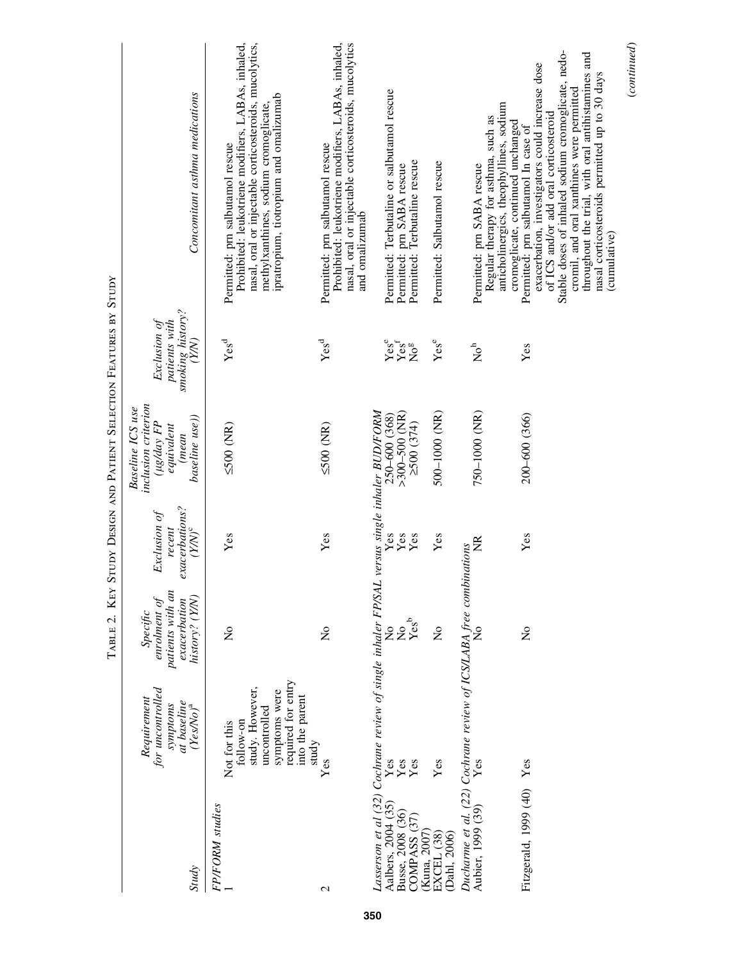|                                                        |                                                                                                                                         | TABLE 2. KEY                                                                   |                                                                | STUDY DESIGN AND PATIENT SELECTION FEATURES BY STUDY                                                       |                                                                        |                                                                                                                                                                                                                                                                                                                                                                                                 |
|--------------------------------------------------------|-----------------------------------------------------------------------------------------------------------------------------------------|--------------------------------------------------------------------------------|----------------------------------------------------------------|------------------------------------------------------------------------------------------------------------|------------------------------------------------------------------------|-------------------------------------------------------------------------------------------------------------------------------------------------------------------------------------------------------------------------------------------------------------------------------------------------------------------------------------------------------------------------------------------------|
| <b>Study</b>                                           | for uncontrolled<br>Requirement<br>at baseline<br>symptoms<br>$(FesNo)^a$                                                               | patients with an<br>history? (Y/N)<br>enrolment of<br>exacerbation<br>Specific | exacerbations?<br>(Y/N) <sup>c</sup><br>Exclusion of<br>recent | inclusion criterion<br><b>Baseline ICS</b> use<br>baseline use)<br>( $\mu g/day$ FP<br>equivalent<br>(mean | smoking history?<br>$(Y/N)$<br>patients with<br>Exclusion of           | Concomitant asthma medications                                                                                                                                                                                                                                                                                                                                                                  |
| <b>FP/FORM</b> studies                                 | required for entry<br>study. However,<br>symptoms were<br>into the parent<br>uncontrolled<br>follow-on<br>Not for this<br>study         | $\tilde{\mathsf{z}}$                                                           | Yes                                                            | $500$ (NR)                                                                                                 | Yes <sup>d</sup>                                                       | Prohibited: leukotriene modifiers, LABAs, inhaled,<br>nasal, oral or injectable corticosteroids, mucolytics,<br>ipratropium, tiotropium and omalizumab<br>methylxanthines, sodium cromoglicate,<br>Permitted: prn salbutamol rescue                                                                                                                                                             |
| $\mathcal{L}$                                          | $\mathbf{Yes}$                                                                                                                          | $\frac{1}{2}$                                                                  | Yes                                                            | $500$ (NR)                                                                                                 | $Yes^d$                                                                | Prohibited: leukotriene modifiers, LABAs, inhaled,<br>nasal, oral or injectable corticosteroids, mucolytics<br>Permitted: prn salbutamol rescue<br>and omalizumab                                                                                                                                                                                                                               |
| Aalbers, 2004 (35)<br>Busse, 2008 (36)<br>COMPASS (37) | Lasserson et al (32) Cochrane review of single inhaler FP/SAL versus single inhaler BUD/FORM<br>$\mathbf{Yes}$<br>Yes<br>$\mathbf{Yes}$ | $\mathop{\mathrm{Xes}}\limits_{\mathbf{Yes}^b}$                                | Yes<br>Yes<br>Yes                                              | $>300 - 500$ (NR)<br>250-600 (368)<br>2500(374)                                                            | Yes <sup>e</sup><br>$\bar{\text{Yes}}^{\mathrm{f}}$<br>No <sup>g</sup> | Permitted: Terbutaline or salbutamol rescue<br>Permitted: Terbutaline rescue<br>Permitted: prn SABA rescue                                                                                                                                                                                                                                                                                      |
| (Kuna, 2007)<br>EXCEL (38)<br>(Dahl, 2006)             | Yes                                                                                                                                     | $\mathsf{S}^{\mathsf{o}}$                                                      | Yes                                                            | 500-1000 (NR)                                                                                              | Yes <sup>e</sup>                                                       | Permitted: Salbutamol rescue                                                                                                                                                                                                                                                                                                                                                                    |
| Aubier, 1999 (39)                                      | Ducharme et al. (22) Cochrane review of ICS/LABA free combinations<br>Yes                                                               |                                                                                | $\widetilde{\Xi}$                                              | 750-1000 (NR)                                                                                              | $\mathop{\mathsf{No}}\nolimits^{\mathsf{h}}$                           | anticholinergics, theophyllines, sodium<br>Regular therapy for asthma, such as<br>Permitted: prn SABA rescue                                                                                                                                                                                                                                                                                    |
| Fitzgerald, 1999 (40)                                  | Yes                                                                                                                                     | $\tilde{z}$                                                                    | Yes                                                            | 200-600 (366)                                                                                              | Yes                                                                    | Stable doses of inhaled sodium cromoglicate, nedo-<br>throughout the trial, with oral antihistamines and<br>exacerbation, investigators could increase dose<br>nasal corticosteroids permitted up to 30 days<br>cromil, and oral xanthines were permitted<br>of ICS and/or add oral corticosteroid<br>cromoglicate, continued unchanged<br>Permitted: prn salbutamol In case of<br>(cumulative) |
|                                                        |                                                                                                                                         |                                                                                |                                                                |                                                                                                            |                                                                        | (continued)                                                                                                                                                                                                                                                                                                                                                                                     |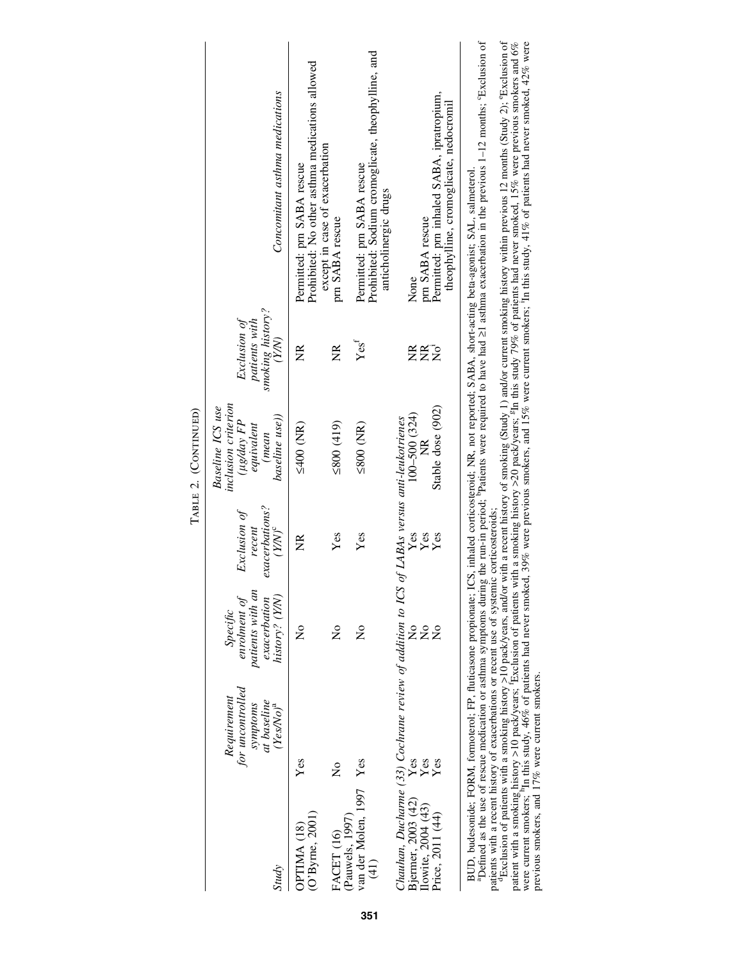| <b>Study</b>                                             | for uncontrolled<br>Requirement<br>at baseline<br>symptoms<br>$(FesNo)^a$ | patients with an<br>history? (Y/N)<br>enrolment of<br>exacerbation<br>Specific | exacerbations?<br>Exclusion of<br>recent<br>$\left( Y\!N\right) ^{\mathrm{c}}$ | inclusion criterion<br>Baseline ICS use<br>baseline use))<br>$(\mu g / d a y FP)$<br>equivalent<br>(mean | smoking history?<br>Exclusion of<br>patients with<br>(YN) | Concomitant asthma medications                                                                                                                                                          |
|----------------------------------------------------------|---------------------------------------------------------------------------|--------------------------------------------------------------------------------|--------------------------------------------------------------------------------|----------------------------------------------------------------------------------------------------------|-----------------------------------------------------------|-----------------------------------------------------------------------------------------------------------------------------------------------------------------------------------------|
| (O'Byrne, 2001)<br>OPTIMA <sub>(18)</sub>                | Yes                                                                       | $\mathsf{z}^{\circ}$                                                           | Ž                                                                              | $5400$ (NR)                                                                                              | ž                                                         | Prohibited: No other asthma medications allowed<br>Permitted: prn SABA rescue                                                                                                           |
| (Pauwels, 1997)<br>FACET (16)                            | $\tilde{\mathsf{z}}$                                                      | $\tilde{z}$                                                                    | Yes                                                                            | $(619)$ $0082$                                                                                           | ž                                                         | except in case of exacerbation<br>pm SABA rescue                                                                                                                                        |
| van der Molen, 1997 Yes<br>$\left( \frac{41}{2} \right)$ |                                                                           | $\tilde{\mathsf{z}}$                                                           | Yes                                                                            | $\leq 800$ (NR)                                                                                          | $Yes^f$                                                   | Prohibited: Sodium cromoglicate, theophylline, and<br>Permitted: prn SABA rescue<br>anticholinergic drugs                                                                               |
|                                                          | Chauhan, Ducharme (33) Cochrane review of addition to ICS                 |                                                                                | of LABAs versus anti-leukotrienes                                              |                                                                                                          |                                                           |                                                                                                                                                                                         |
| Bjermer, 2003 (42)<br>Ilowite, 2004 (43)                 | Yes<br>Yes                                                                | $\mathsf{\Sigma}^\circ$<br>$\mathsf{\hat{z}}$                                  | Yes<br>Yes                                                                     | $100 - 500$ $(324)$                                                                                      | Z                                                         | pm SABA rescue<br>None                                                                                                                                                                  |
| Price, 2011 (44)                                         | $_{\rm Yes}$                                                              | $\tilde{\mathsf{z}}$                                                           | Yes                                                                            | Stable dose (902)                                                                                        | ĔŻ                                                        | Permitted: prn inhaled SABA, ipratropium,<br>theophylline, cromoglicate, nedocromil                                                                                                     |
|                                                          |                                                                           |                                                                                |                                                                                |                                                                                                          |                                                           | $\ddot{\phantom{a}}$<br>BUD, budesonide, FORM, formoterol, FP, fluticasone propionate, ICS, inhaled corticosteroid; NR, not reported; SABA, short-acting beta-agonist; SAL, salmeterol. |

TABLE 2. (CONTINUED) Table 2. (Continued) BUD, budesonide; FORM, formoterol; FP, fluticasone propionate; ICS, inhaled corticosteroid; NR, not reported; SABA, short-acting beta-agonist; SAL, salmeterol.<br>"Defined as the use of rescue medication or asthma symptoms du

patients with a recent history of exacerbations or recent use of systemic corticosteroids;<br>"Exclusion of patients with a smoking history >10 pack/years, and/or with a recent history of smoking (Study 1) and/or current smok

"Defined as the use, of resue medication r, are proports during the uni-in period; "Patients were required to have had ≥1 asthma exacerbation in the previous 1–12 months; "Exclusion of patients with a recent history of exa patient with a smoking history >10 pack/years; <sup>f</sup>Exclusion of patients with a smoking history >20 pack/years; <sup>g</sup>In this study 79% of patients had never smoked, 15% were previous smokers and 6% were current smokers; <sup>h</sup>In this study, 46% of patients had never smoked, 39% were previous smokers, and 15% were current smokers; <sup>1</sup>In this study, 41% of patients had never smoked, 42% were previous smokers, and 17% were current smokers.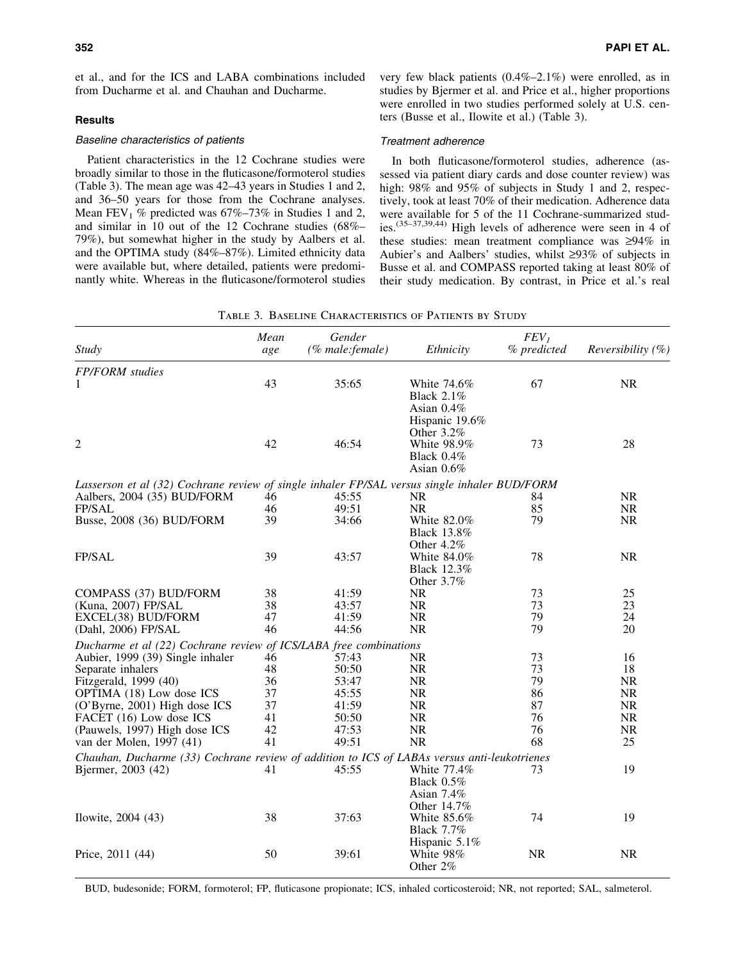et al., and for the ICS and LABA combinations included from Ducharme et al. and Chauhan and Ducharme.

# **Results**

## Baseline characteristics of patients

Patient characteristics in the 12 Cochrane studies were broadly similar to those in the fluticasone/formoterol studies (Table 3). The mean age was 42–43 years in Studies 1 and 2, and 36–50 years for those from the Cochrane analyses. Mean FEV<sub>1</sub> % predicted was  $67\% - 73\%$  in Studies 1 and 2, and similar in 10 out of the 12 Cochrane studies (68%– 79%), but somewhat higher in the study by Aalbers et al. and the OPTIMA study (84%–87%). Limited ethnicity data were available but, where detailed, patients were predominantly white. Whereas in the fluticasone/formoterol studies very few black patients (0.4%–2.1%) were enrolled, as in studies by Bjermer et al. and Price et al., higher proportions were enrolled in two studies performed solely at U.S. centers (Busse et al., Ilowite et al.) (Table 3).

# Treatment adherence

In both fluticasone/formoterol studies, adherence (assessed via patient diary cards and dose counter review) was high:  $98\%$  and  $95\%$  of subjects in Study 1 and 2, respectively, took at least 70% of their medication. Adherence data were available for 5 of the 11 Cochrane-summarized studies.(35–37,39,44) High levels of adherence were seen in 4 of these studies: mean treatment compliance was  $\geq 94\%$  in Aubier's and Aalbers' studies, whilst  $\geq 93\%$  of subjects in Busse et al. and COMPASS reported taking at least 80% of their study medication. By contrast, in Price et al.'s real

| <b>Study</b>                                                                                 | Mean<br>age | Gender<br>(% male:female) | Ethnicity                                                           | FEV <sub>I</sub><br>% predicted | <i>Reversibility</i> $(\%)$ |
|----------------------------------------------------------------------------------------------|-------------|---------------------------|---------------------------------------------------------------------|---------------------------------|-----------------------------|
| <b>FP/FORM</b> studies                                                                       |             |                           |                                                                     |                                 |                             |
| 1                                                                                            | 43          | 35:65                     | White 74.6%<br><b>Black 2.1%</b><br>Asian $0.4\%$<br>Hispanic 19.6% | 67                              | <b>NR</b>                   |
| 2                                                                                            | 42          | 46:54                     | Other 3.2%<br>White 98.9%<br>Black $0.4\%$<br>Asian $0.6\%$         | 73                              | 28                          |
| Lasserson et al (32) Cochrane review of single inhaler FP/SAL versus single inhaler BUD/FORM |             |                           |                                                                     |                                 |                             |
| Aalbers, 2004 (35) BUD/FORM                                                                  | 46          | 45:55                     | <b>NR</b>                                                           | 84                              | <b>NR</b>                   |
| <b>FP/SAL</b>                                                                                | 46          | 49:51                     | <b>NR</b>                                                           | 85                              | <b>NR</b>                   |
| Busse, 2008 (36) BUD/FORM                                                                    | 39          | 34:66                     | White 82.0%<br><b>Black 13.8%</b><br>Other 4.2%                     | 79                              | NR                          |
| FP/SAL                                                                                       | 39          | 43:57                     | White 84.0%<br><b>Black 12.3%</b><br>Other 3.7%                     | 78                              | $\rm NR$                    |
| COMPASS (37) BUD/FORM                                                                        | 38          | 41:59                     | NR                                                                  | 73                              | 25                          |
| (Kuna, 2007) FP/SAL                                                                          | 38          | 43:57                     | <b>NR</b>                                                           | 73                              | 23                          |
| EXCEL(38) BUD/FORM                                                                           | 47          | 41:59                     | <b>NR</b>                                                           | 79                              | 24                          |
| (Dahl, 2006) FP/SAL                                                                          | 46          | 44:56                     | <b>NR</b>                                                           | 79                              | 20                          |
| Ducharme et al (22) Cochrane review of ICS/LABA free combinations                            |             |                           |                                                                     |                                 |                             |
| Aubier, 1999 (39) Single inhaler                                                             | 46          | 57:43                     | <b>NR</b>                                                           | 73                              | 16                          |
| Separate inhalers                                                                            | 48          | 50:50                     | <b>NR</b>                                                           | 73                              | 18                          |
| Fitzgerald, 1999 (40)                                                                        | 36          | 53:47                     | <b>NR</b>                                                           | 79                              | <b>NR</b>                   |
| OPTIMA (18) Low dose ICS                                                                     | 37          | 45:55                     | <b>NR</b>                                                           | 86                              | <b>NR</b>                   |
| (O'Byrne, 2001) High dose ICS                                                                | 37          | 41:59                     | <b>NR</b>                                                           | 87                              | <b>NR</b>                   |
| FACET (16) Low dose ICS                                                                      | 41          | 50:50                     | NR                                                                  | 76                              | NR                          |
| (Pauwels, 1997) High dose ICS                                                                | 42          | 47:53                     | <b>NR</b>                                                           | 76                              | <b>NR</b>                   |
| van der Molen, 1997 (41)                                                                     | 41          | 49:51                     | <b>NR</b>                                                           | 68                              | 25                          |
| Chauhan, Ducharme (33) Cochrane review of addition to ICS of LABAs versus anti-leukotrienes  |             |                           |                                                                     |                                 |                             |
| Bjermer, 2003 (42)                                                                           | 41          | 45:55                     | White 77.4%<br>Black $0.5\%$<br>Asian 7.4%                          | 73                              | 19                          |
| Ilowite, 2004 (43)                                                                           | 38          | 37:63                     | Other 14.7%<br>White 85.6%<br><b>Black 7.7%</b><br>Hispanic 5.1%    | 74                              | 19                          |
| Price, 2011 (44)                                                                             | 50          | 39:61                     | White 98%<br>Other 2%                                               | <b>NR</b>                       | <b>NR</b>                   |

BUD, budesonide; FORM, formoterol; FP, fluticasone propionate; ICS, inhaled corticosteroid; NR, not reported; SAL, salmeterol.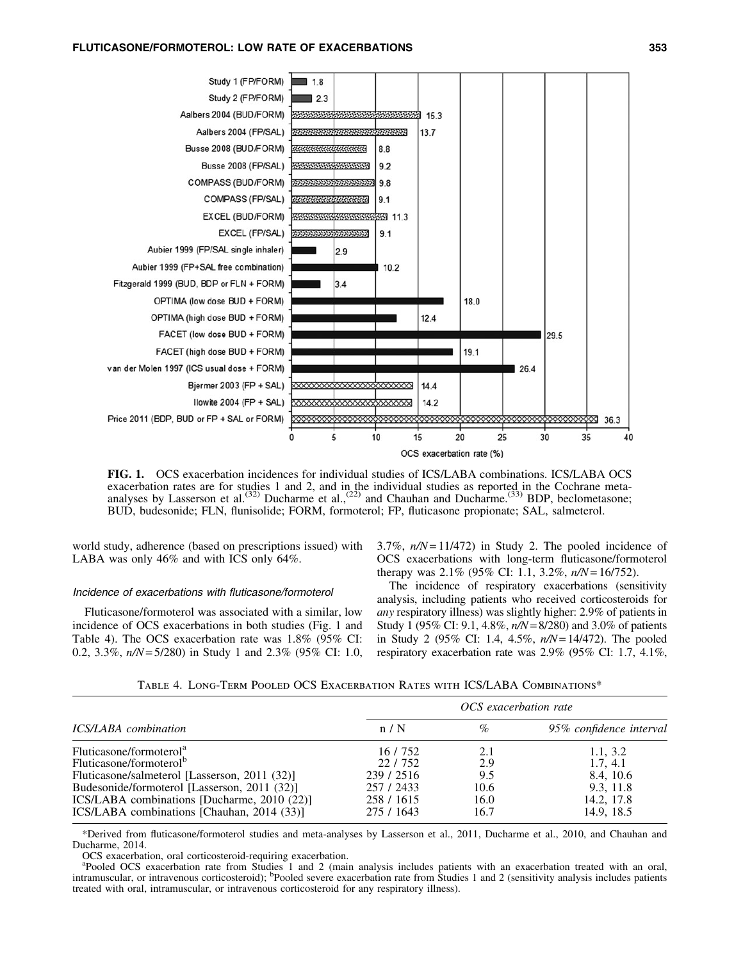

FIG. 1. OCS exacerbation incidences for individual studies of ICS/LABA combinations. ICS/LABA OCS exacerbation rates are for studies 1 and 2, and in the individual studies as reported in the Cochrane meta-<br>analyses by Lasserson et al.<sup>(32)</sup> Ducharme et al.,<sup>(22)</sup> and Chauhan and Ducharme.<sup>(33)</sup> BDP, beclometasone; BUD, budesonide; FLN, flunisolide; FORM, formoterol; FP, fluticasone propionate; SAL, salmeterol.

world study, adherence (based on prescriptions issued) with LABA was only 46% and with ICS only 64%.

## Incidence of exacerbations with fluticasone/formoterol

Fluticasone/formoterol was associated with a similar, low incidence of OCS exacerbations in both studies (Fig. 1 and Table 4). The OCS exacerbation rate was 1.8% (95% CI: 0.2, 3.3%, *n/N*= 5/280) in Study 1 and 2.3% (95% CI: 1.0, 3.7%,  $n/N = 11/472$ ) in Study 2. The pooled incidence of OCS exacerbations with long-term fluticasone/formoterol therapy was 2.1% (95% CI: 1.1, 3.2%, *n/N*= 16/752).

The incidence of respiratory exacerbations (sensitivity analysis, including patients who received corticosteroids for *any* respiratory illness) was slightly higher: 2.9% of patients in Study 1 (95% CI: 9.1, 4.8%, *n/N*= 8/280) and 3.0% of patients in Study 2 (95% CI: 1.4, 4.5%, *n/N*= 14/472). The pooled respiratory exacerbation rate was 2.9% (95% CI: 1.7, 4.1%,

|                                               |            | OCS exacerbation rate |                         |
|-----------------------------------------------|------------|-----------------------|-------------------------|
| ICS/LABA combination                          | n/N        | $\%$                  | 95% confidence interval |
| Fluticasone/formoterol <sup>a</sup>           | 16/752     | 2.1                   | 1.1, 3.2                |
| Fluticasone/formoterol <sup>b</sup>           | 22/752     | 2.9                   | 1.7, 4.1                |
| Fluticasone/salmeterol [Lasserson, 2011 (32)] | 239 / 2516 | 9.5                   | 8.4, 10.6               |
| Budesonide/formoterol [Lasserson, 2011 (32)]  | 257 / 2433 | 10.6                  | 9.3, 11.8               |
| ICS/LABA combinations [Ducharme, 2010 (22)]   | 258 / 1615 | 16.0                  | 14.2, 17.8              |
| ICS/LABA combinations [Chauhan, 2014 (33)]    | 275 / 1643 | 16.7                  | 14.9, 18.5              |

\*Derived from fluticasone/formoterol studies and meta-analyses by Lasserson et al., 2011, Ducharme et al., 2010, and Chauhan and Ducharme, 2014.

OCS exacerbation, oral corticosteroid-requiring exacerbation.

<sup>a</sup>Pooled OCS exacerbation rate from Studies 1 and 2 (main analysis includes patients with an exacerbation treated with an oral, intramuscular, or intravenous corticosteroid); <sup>b</sup>Pooled severe exacerbation rate from Studie treated with oral, intramuscular, or intravenous corticosteroid for any respiratory illness).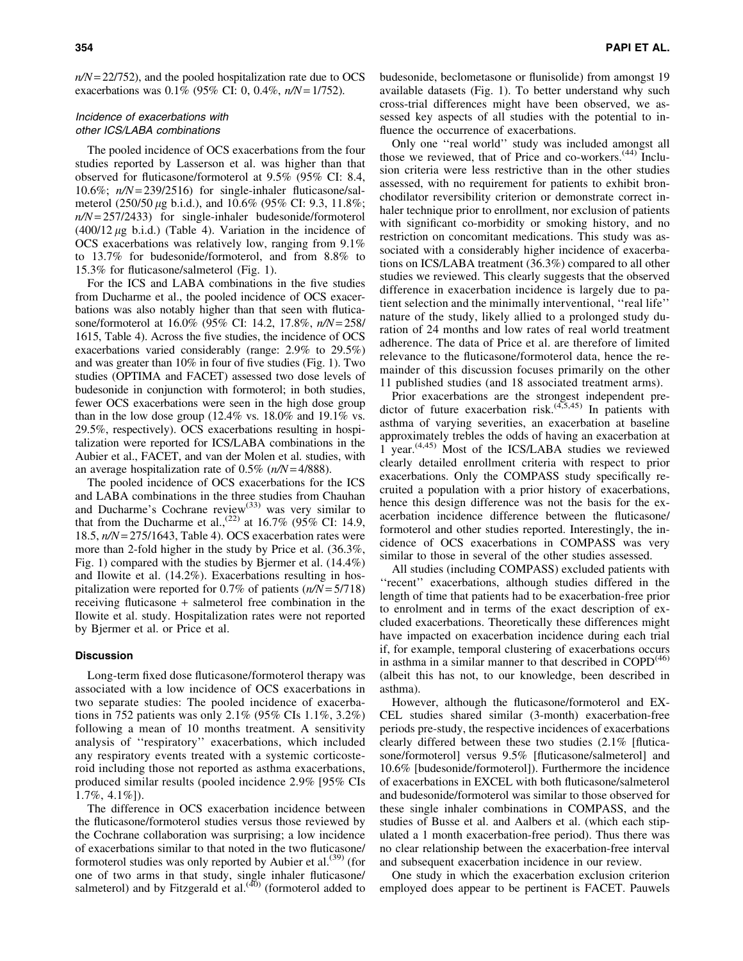*n/N*= 22/752), and the pooled hospitalization rate due to OCS exacerbations was 0.1% (95% CI: 0, 0.4%, *n/N*= 1/752).

# Incidence of exacerbations with other ICS/LABA combinations

The pooled incidence of OCS exacerbations from the four studies reported by Lasserson et al. was higher than that observed for fluticasone/formoterol at 9.5% (95% CI: 8.4, 10.6%; *n/N*= 239/2516) for single-inhaler fluticasone/salmeterol  $(250/50 \,\mu$ g b.i.d.), and 10.6% (95% CI: 9.3, 11.8%; *n/N*= 257/2433) for single-inhaler budesonide/formoterol  $(400/12 \mu g \text{ b.i.d.})$  (Table 4). Variation in the incidence of OCS exacerbations was relatively low, ranging from 9.1% to 13.7% for budesonide/formoterol, and from 8.8% to 15.3% for fluticasone/salmeterol (Fig. 1).

For the ICS and LABA combinations in the five studies from Ducharme et al., the pooled incidence of OCS exacerbations was also notably higher than that seen with fluticasone/formoterol at 16.0% (95% CI: 14.2, 17.8%, *n/N*= 258/ 1615, Table 4). Across the five studies, the incidence of OCS exacerbations varied considerably (range: 2.9% to 29.5%) and was greater than 10% in four of five studies (Fig. 1). Two studies (OPTIMA and FACET) assessed two dose levels of budesonide in conjunction with formoterol; in both studies, fewer OCS exacerbations were seen in the high dose group than in the low dose group  $(12.4\% \text{ vs. } 18.0\% \text{ and } 19.1\% \text{ vs. } 18.0\% \text{ and } 19.1\% \text{ vs. } 18.0\% \text{ and } 19.1\% \text{ vs. } 18.0\% \text{ and } 19.1\% \text{ vs. } 18.0\% \text{ and } 19.1\% \text{ vs. } 18.0\% \text{ and } 19.1\% \text{ vs. } 18.0\% \text{ and } 19.1\% \text{ vs. } 18.0$ 29.5%, respectively). OCS exacerbations resulting in hospitalization were reported for ICS/LABA combinations in the Aubier et al., FACET, and van der Molen et al. studies, with an average hospitalization rate of 0.5% (*n/N*= 4/888).

The pooled incidence of OCS exacerbations for the ICS and LABA combinations in the three studies from Chauhan and Ducharme's Cochrane review<sup>(33)</sup> was very similar to that from the Ducharme et al.,<sup>(22)</sup> at 16.7% (95% CI: 14.9, 18.5, *n/N*= 275/1643, Table 4). OCS exacerbation rates were more than 2-fold higher in the study by Price et al. (36.3%, Fig. 1) compared with the studies by Bjermer et al. (14.4%) and Ilowite et al. (14.2%). Exacerbations resulting in hospitalization were reported for 0.7% of patients (*n/N* = 5/718) receiving fluticasone + salmeterol free combination in the Ilowite et al. study. Hospitalization rates were not reported by Bjermer et al. or Price et al.

## **Discussion**

Long-term fixed dose fluticasone/formoterol therapy was associated with a low incidence of OCS exacerbations in two separate studies: The pooled incidence of exacerbations in 752 patients was only 2.1% (95% CIs 1.1%, 3.2%) following a mean of 10 months treatment. A sensitivity analysis of ''respiratory'' exacerbations, which included any respiratory events treated with a systemic corticosteroid including those not reported as asthma exacerbations, produced similar results (pooled incidence 2.9% [95% CIs 1.7%, 4.1%]).

The difference in OCS exacerbation incidence between the fluticasone/formoterol studies versus those reviewed by the Cochrane collaboration was surprising; a low incidence of exacerbations similar to that noted in the two fluticasone/ formoterol studies was only reported by Aubier et al.<sup>(39)</sup> (for one of two arms in that study, single inhaler fluticasone/ salmeterol) and by Fitzgerald et al.<sup>(40)</sup> (formoterol added to budesonide, beclometasone or flunisolide) from amongst 19 available datasets (Fig. 1). To better understand why such cross-trial differences might have been observed, we assessed key aspects of all studies with the potential to influence the occurrence of exacerbations.

Only one ''real world'' study was included amongst all those we reviewed, that of Price and co-workers. $(44)$  Inclusion criteria were less restrictive than in the other studies assessed, with no requirement for patients to exhibit bronchodilator reversibility criterion or demonstrate correct inhaler technique prior to enrollment, nor exclusion of patients with significant co-morbidity or smoking history, and no restriction on concomitant medications. This study was associated with a considerably higher incidence of exacerbations on ICS/LABA treatment (36.3%) compared to all other studies we reviewed. This clearly suggests that the observed difference in exacerbation incidence is largely due to patient selection and the minimally interventional, ''real life'' nature of the study, likely allied to a prolonged study duration of 24 months and low rates of real world treatment adherence. The data of Price et al. are therefore of limited relevance to the fluticasone/formoterol data, hence the remainder of this discussion focuses primarily on the other 11 published studies (and 18 associated treatment arms).

Prior exacerbations are the strongest independent predictor of future exacerbation risk. $(4,5,45)$  In patients with asthma of varying severities, an exacerbation at baseline approximately trebles the odds of having an exacerbation at 1 year.(4,45) Most of the ICS/LABA studies we reviewed clearly detailed enrollment criteria with respect to prior exacerbations. Only the COMPASS study specifically recruited a population with a prior history of exacerbations, hence this design difference was not the basis for the exacerbation incidence difference between the fluticasone/ formoterol and other studies reported. Interestingly, the incidence of OCS exacerbations in COMPASS was very similar to those in several of the other studies assessed.

All studies (including COMPASS) excluded patients with "recent" exacerbations, although studies differed in the length of time that patients had to be exacerbation-free prior to enrolment and in terms of the exact description of excluded exacerbations. Theoretically these differences might have impacted on exacerbation incidence during each trial if, for example, temporal clustering of exacerbations occurs in asthma in a similar manner to that described in  $\text{COPD}^{(46)}$ (albeit this has not, to our knowledge, been described in asthma).

However, although the fluticasone/formoterol and EX-CEL studies shared similar (3-month) exacerbation-free periods pre-study, the respective incidences of exacerbations clearly differed between these two studies (2.1% [fluticasone/formoterol] versus 9.5% [fluticasone/salmeterol] and 10.6% [budesonide/formoterol]). Furthermore the incidence of exacerbations in EXCEL with both fluticasone/salmeterol and budesonide/formoterol was similar to those observed for these single inhaler combinations in COMPASS, and the studies of Busse et al. and Aalbers et al. (which each stipulated a 1 month exacerbation-free period). Thus there was no clear relationship between the exacerbation-free interval and subsequent exacerbation incidence in our review.

One study in which the exacerbation exclusion criterion employed does appear to be pertinent is FACET. Pauwels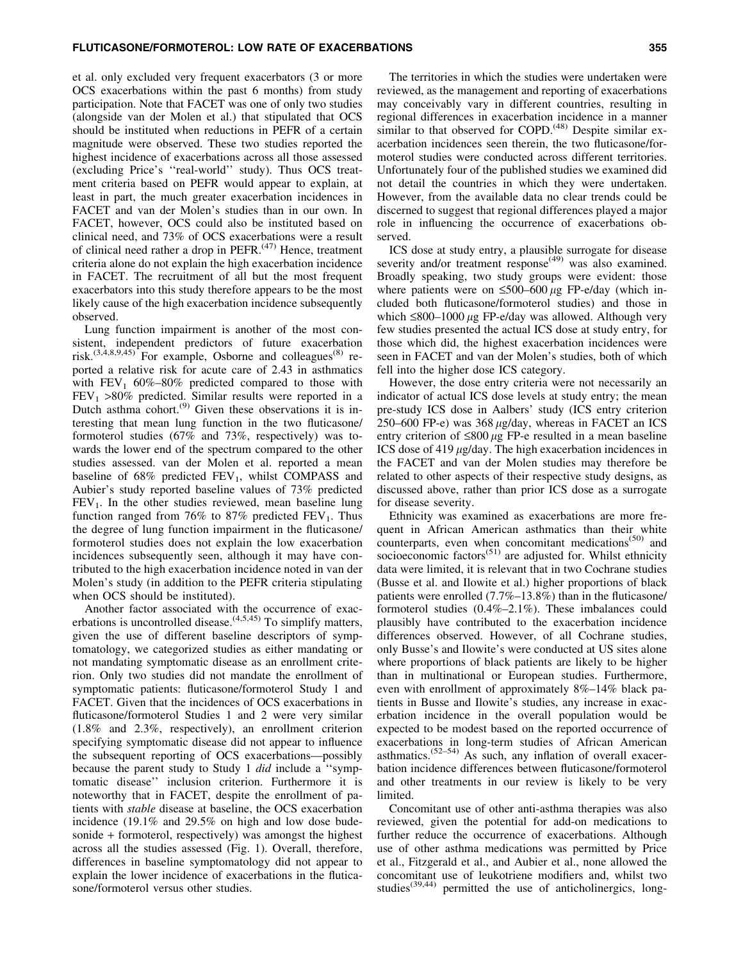#### FLUTICASONE/FORMOTEROL: LOW RATE OF EXACERBATIONS 355

et al. only excluded very frequent exacerbators (3 or more OCS exacerbations within the past 6 months) from study participation. Note that FACET was one of only two studies (alongside van der Molen et al.) that stipulated that OCS should be instituted when reductions in PEFR of a certain magnitude were observed. These two studies reported the highest incidence of exacerbations across all those assessed (excluding Price's ''real-world'' study). Thus OCS treatment criteria based on PEFR would appear to explain, at least in part, the much greater exacerbation incidences in FACET and van der Molen's studies than in our own. In FACET, however, OCS could also be instituted based on clinical need, and 73% of OCS exacerbations were a result of clinical need rather a drop in PEFR.<sup>(47)</sup> Hence, treatment criteria alone do not explain the high exacerbation incidence in FACET. The recruitment of all but the most frequent exacerbators into this study therefore appears to be the most likely cause of the high exacerbation incidence subsequently observed.

Lung function impairment is another of the most consistent, independent predictors of future exacerbation risk.<sup>(3,4,8,9,45)</sup> For example, Osborne and colleagues<sup>(8)</sup> reported a relative risk for acute care of 2.43 in asthmatics with  $FEV_1$  60%–80% predicted compared to those with  $FEV<sub>1</sub> >80\%$  predicted. Similar results were reported in a Dutch asthma cohort. $^{(9)}$  Given these observations it is interesting that mean lung function in the two fluticasone/ formoterol studies (67% and 73%, respectively) was towards the lower end of the spectrum compared to the other studies assessed. van der Molen et al. reported a mean baseline of  $68\%$  predicted  $FEV_1$ , whilst COMPASS and Aubier's study reported baseline values of 73% predicted  $FEV<sub>1</sub>$ . In the other studies reviewed, mean baseline lung function ranged from 76% to 87% predicted  $FEV<sub>1</sub>$ . Thus the degree of lung function impairment in the fluticasone/ formoterol studies does not explain the low exacerbation incidences subsequently seen, although it may have contributed to the high exacerbation incidence noted in van der Molen's study (in addition to the PEFR criteria stipulating when OCS should be instituted).

Another factor associated with the occurrence of exacerbations is uncontrolled disease.  $(4,5,45)$  To simplify matters, given the use of different baseline descriptors of symptomatology, we categorized studies as either mandating or not mandating symptomatic disease as an enrollment criterion. Only two studies did not mandate the enrollment of symptomatic patients: fluticasone/formoterol Study 1 and FACET. Given that the incidences of OCS exacerbations in fluticasone/formoterol Studies 1 and 2 were very similar (1.8% and 2.3%, respectively), an enrollment criterion specifying symptomatic disease did not appear to influence the subsequent reporting of OCS exacerbations—possibly because the parent study to Study 1 *did* include a ''symptomatic disease'' inclusion criterion. Furthermore it is noteworthy that in FACET, despite the enrollment of patients with *stable* disease at baseline, the OCS exacerbation incidence (19.1% and 29.5% on high and low dose budesonide + formoterol, respectively) was amongst the highest across all the studies assessed (Fig. 1). Overall, therefore, differences in baseline symptomatology did not appear to explain the lower incidence of exacerbations in the fluticasone/formoterol versus other studies.

The territories in which the studies were undertaken were reviewed, as the management and reporting of exacerbations may conceivably vary in different countries, resulting in regional differences in exacerbation incidence in a manner similar to that observed for COPD.<sup>(48)</sup> Despite similar exacerbation incidences seen therein, the two fluticasone/formoterol studies were conducted across different territories. Unfortunately four of the published studies we examined did not detail the countries in which they were undertaken. However, from the available data no clear trends could be discerned to suggest that regional differences played a major role in influencing the occurrence of exacerbations observed.

ICS dose at study entry, a plausible surrogate for disease severity and/or treatment response<sup>(49)</sup> was also examined. Broadly speaking, two study groups were evident: those where patients were on  $\leq 500-600 \mu$ g FP-e/day (which included both fluticasone/formoterol studies) and those in which  $\leq 800-1000 \mu$ g FP-e/day was allowed. Although very few studies presented the actual ICS dose at study entry, for those which did, the highest exacerbation incidences were seen in FACET and van der Molen's studies, both of which fell into the higher dose ICS category.

However, the dose entry criteria were not necessarily an indicator of actual ICS dose levels at study entry; the mean pre-study ICS dose in Aalbers' study (ICS entry criterion 250–600 FP-e) was  $368 \mu g/day$ , whereas in FACET an ICS entry criterion of  $\leq 800 \mu$ g FP-e resulted in a mean baseline ICS dose of 419  $\mu$ g/day. The high exacerbation incidences in the FACET and van der Molen studies may therefore be related to other aspects of their respective study designs, as discussed above, rather than prior ICS dose as a surrogate for disease severity.

Ethnicity was examined as exacerbations are more frequent in African American asthmatics than their white counterparts, even when concomitant medications<sup>(50)</sup> and socioeconomic factors<sup> $(51)$ </sup> are adjusted for. Whilst ethnicity data were limited, it is relevant that in two Cochrane studies (Busse et al. and Ilowite et al.) higher proportions of black patients were enrolled (7.7%–13.8%) than in the fluticasone/ formoterol studies (0.4%–2.1%). These imbalances could plausibly have contributed to the exacerbation incidence differences observed. However, of all Cochrane studies, only Busse's and Ilowite's were conducted at US sites alone where proportions of black patients are likely to be higher than in multinational or European studies. Furthermore, even with enrollment of approximately 8%–14% black patients in Busse and Ilowite's studies, any increase in exacerbation incidence in the overall population would be expected to be modest based on the reported occurrence of exacerbations in long-term studies of African American asthmatics.<sup> $(52-54)$ </sup> As such, any inflation of overall exacerbation incidence differences between fluticasone/formoterol and other treatments in our review is likely to be very limited.

Concomitant use of other anti-asthma therapies was also reviewed, given the potential for add-on medications to further reduce the occurrence of exacerbations. Although use of other asthma medications was permitted by Price et al., Fitzgerald et al., and Aubier et al., none allowed the concomitant use of leukotriene modifiers and, whilst two studies<sup>(39,44)</sup> permitted the use of anticholinergics, long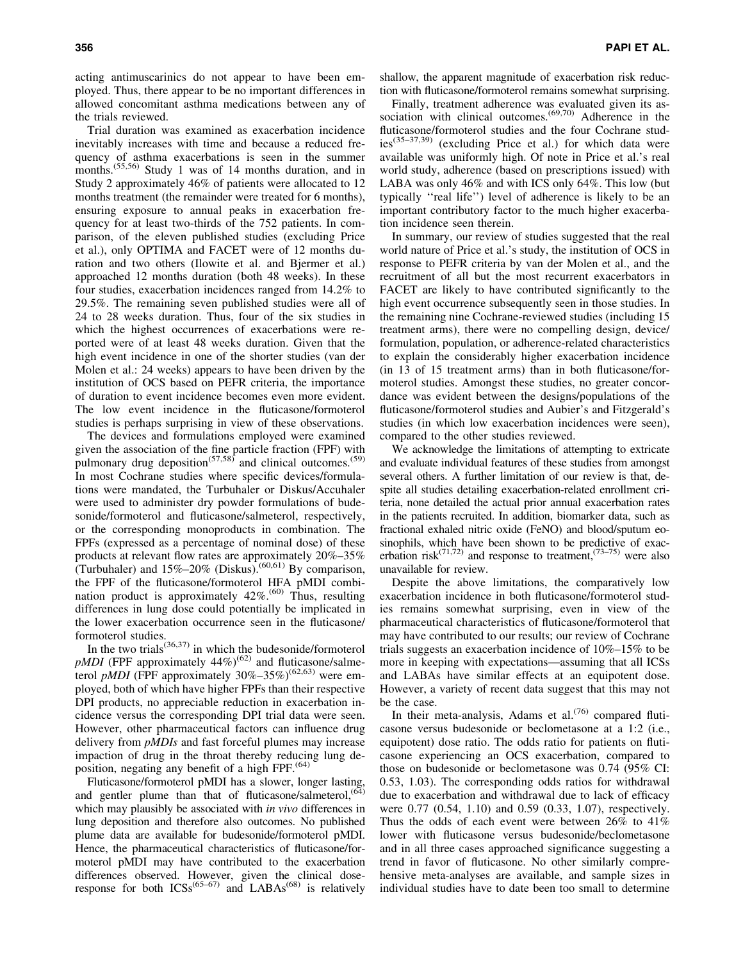acting antimuscarinics do not appear to have been employed. Thus, there appear to be no important differences in allowed concomitant asthma medications between any of the trials reviewed.

Trial duration was examined as exacerbation incidence inevitably increases with time and because a reduced frequency of asthma exacerbations is seen in the summer months.<sup>(55,56)</sup> Study 1 was of 14 months duration, and in Study 2 approximately 46% of patients were allocated to 12 months treatment (the remainder were treated for 6 months), ensuring exposure to annual peaks in exacerbation frequency for at least two-thirds of the 752 patients. In comparison, of the eleven published studies (excluding Price et al.), only OPTIMA and FACET were of 12 months duration and two others (Ilowite et al. and Bjermer et al.) approached 12 months duration (both 48 weeks). In these four studies, exacerbation incidences ranged from 14.2% to 29.5%. The remaining seven published studies were all of 24 to 28 weeks duration. Thus, four of the six studies in which the highest occurrences of exacerbations were reported were of at least 48 weeks duration. Given that the high event incidence in one of the shorter studies (van der Molen et al.: 24 weeks) appears to have been driven by the institution of OCS based on PEFR criteria, the importance of duration to event incidence becomes even more evident. The low event incidence in the fluticasone/formoterol studies is perhaps surprising in view of these observations.

The devices and formulations employed were examined given the association of the fine particle fraction (FPF) with pulmonary drug deposition<sup> $(57,58)$ </sup> and clinical outcomes.<sup>(59)</sup> In most Cochrane studies where specific devices/formulations were mandated, the Turbuhaler or Diskus/Accuhaler were used to administer dry powder formulations of budesonide/formoterol and fluticasone/salmeterol, respectively, or the corresponding monoproducts in combination. The FPFs (expressed as a percentage of nominal dose) of these products at relevant flow rates are approximately 20%–35% (Turbuhaler) and  $15\% - 20\%$  (Diskus).<sup>(60,61)</sup> By comparison, the FPF of the fluticasone/formoterol HFA pMDI combination product is approximately  $42\%$ .<sup> $(60)$ </sup> Thus, resulting differences in lung dose could potentially be implicated in the lower exacerbation occurrence seen in the fluticasone/ formoterol studies.

In the two trials $(36,37)$  in which the budesonide/formoterol *pMDI* (FPF approximately  $44\%$ )<sup>(62)</sup> and fluticasone/salmeterol *pMDI* (FPF approximately 30%–35%)<sup>(62,63)</sup> were employed, both of which have higher FPFs than their respective DPI products, no appreciable reduction in exacerbation incidence versus the corresponding DPI trial data were seen. However, other pharmaceutical factors can influence drug delivery from *pMDIs* and fast forceful plumes may increase impaction of drug in the throat thereby reducing lung deposition, negating any benefit of a high FPF. $(64)$ 

Fluticasone/formoterol pMDI has a slower, longer lasting, and gentler plume than that of fluticasone/salmeterol, (64) which may plausibly be associated with *in vivo* differences in lung deposition and therefore also outcomes. No published plume data are available for budesonide/formoterol pMDI. Hence, the pharmaceutical characteristics of fluticasone/formoterol pMDI may have contributed to the exacerbation differences observed. However, given the clinical doseresponse for both  $ICSS^{(65-67)}$  and  $LABAs^{(68)}$  is relatively shallow, the apparent magnitude of exacerbation risk reduction with fluticasone/formoterol remains somewhat surprising.

Finally, treatment adherence was evaluated given its association with clinical outcomes.<sup>(69,70)</sup> Adherence in the fluticasone/formoterol studies and the four Cochrane studies(35–37,39) (excluding Price et al.) for which data were available was uniformly high. Of note in Price et al.'s real world study, adherence (based on prescriptions issued) with LABA was only 46% and with ICS only 64%. This low (but typically ''real life'') level of adherence is likely to be an important contributory factor to the much higher exacerbation incidence seen therein.

In summary, our review of studies suggested that the real world nature of Price et al.'s study, the institution of OCS in response to PEFR criteria by van der Molen et al., and the recruitment of all but the most recurrent exacerbators in FACET are likely to have contributed significantly to the high event occurrence subsequently seen in those studies. In the remaining nine Cochrane-reviewed studies (including 15 treatment arms), there were no compelling design, device/ formulation, population, or adherence-related characteristics to explain the considerably higher exacerbation incidence (in 13 of 15 treatment arms) than in both fluticasone/formoterol studies. Amongst these studies, no greater concordance was evident between the designs/populations of the fluticasone/formoterol studies and Aubier's and Fitzgerald's studies (in which low exacerbation incidences were seen), compared to the other studies reviewed.

We acknowledge the limitations of attempting to extricate and evaluate individual features of these studies from amongst several others. A further limitation of our review is that, despite all studies detailing exacerbation-related enrollment criteria, none detailed the actual prior annual exacerbation rates in the patients recruited. In addition, biomarker data, such as fractional exhaled nitric oxide (FeNO) and blood/sputum eosinophils, which have been shown to be predictive of exacerbation risk<sup> $(71,72)$ </sup> and response to treatment, $(73-75)$  were also unavailable for review.

Despite the above limitations, the comparatively low exacerbation incidence in both fluticasone/formoterol studies remains somewhat surprising, even in view of the pharmaceutical characteristics of fluticasone/formoterol that may have contributed to our results; our review of Cochrane trials suggests an exacerbation incidence of 10%–15% to be more in keeping with expectations—assuming that all ICSs and LABAs have similar effects at an equipotent dose. However, a variety of recent data suggest that this may not be the case.

In their meta-analysis, Adams et al. $(76)$  compared fluticasone versus budesonide or beclometasone at a 1:2 (i.e., equipotent) dose ratio. The odds ratio for patients on fluticasone experiencing an OCS exacerbation, compared to those on budesonide or beclometasone was 0.74 (95% CI: 0.53, 1.03). The corresponding odds ratios for withdrawal due to exacerbation and withdrawal due to lack of efficacy were 0.77 (0.54, 1.10) and 0.59 (0.33, 1.07), respectively. Thus the odds of each event were between 26% to 41% lower with fluticasone versus budesonide/beclometasone and in all three cases approached significance suggesting a trend in favor of fluticasone. No other similarly comprehensive meta-analyses are available, and sample sizes in individual studies have to date been too small to determine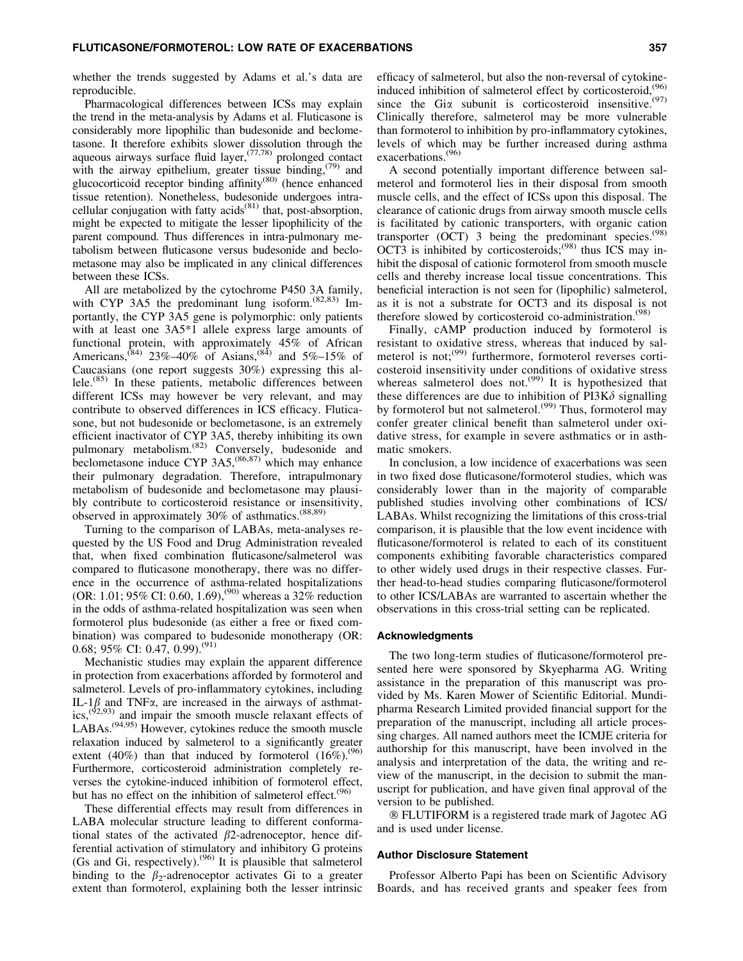whether the trends suggested by Adams et al.'s data are reproducible.

Pharmacological differences between ICSs may explain the trend in the meta-analysis by Adams et al. Fluticasone is considerably more lipophilic than budesonide and beclometasone. It therefore exhibits slower dissolution through the aqueous airways surface fluid layer,  $(77,78)$  prolonged contact with the airway epithelium, greater tissue binding,  $(79)$  and glucocorticoid receptor binding affinity<sup>(80)</sup> (hence enhanced tissue retention). Nonetheless, budesonide undergoes intracellular conjugation with fatty acids $(81)$  that, post-absorption, might be expected to mitigate the lesser lipophilicity of the parent compound. Thus differences in intra-pulmonary metabolism between fluticasone versus budesonide and beclometasone may also be implicated in any clinical differences between these ICSs.

All are metabolized by the cytochrome P450 3A family, with CYP 3A5 the predominant lung isoform.<sup>(82,83)</sup> Importantly, the CYP 3A5 gene is polymorphic: only patients with at least one 3A5\*1 allele express large amounts of functional protein, with approximately 45% of African Americans,<sup>(84)</sup> 23%–40% of Asians,<sup>(84)</sup> and 5%–15% of Caucasians (one report suggests 30%) expressing this allele.(85) In these patients, metabolic differences between different ICSs may however be very relevant, and may contribute to observed differences in ICS efficacy. Fluticasone, but not budesonide or beclometasone, is an extremely efficient inactivator of CYP 3A5, thereby inhibiting its own pulmonary metabolism.<sup>(82)</sup> Conversely, budesonide and beclometasone induce CYP  $3A5$ ,<sup> $(86,87)$ </sup> which may enhance their pulmonary degradation. Therefore, intrapulmonary metabolism of budesonide and beclometasone may plausibly contribute to corticosteroid resistance or insensitivity, observed in approximately 30% of asthmatics.(88,89)

Turning to the comparison of LABAs, meta-analyses requested by the US Food and Drug Administration revealed that, when fixed combination fluticasone/salmeterol was compared to fluticasone monotherapy, there was no difference in the occurrence of asthma-related hospitalizations (OR: 1.01; 95% CI: 0.60, 1.69),<sup>(90)</sup> whereas a 32% reduction in the odds of asthma-related hospitalization was seen when formoterol plus budesonide (as either a free or fixed combination) was compared to budesonide monotherapy (OR: 0.68; 95% CI: 0.47, 0.99).<sup>(91)</sup>

Mechanistic studies may explain the apparent difference in protection from exacerbations afforded by formoterol and salmeterol. Levels of pro-inflammatory cytokines, including IL-1 $\beta$  and TNF $\alpha$ , are increased in the airways of asthmatics,  $(92,93)$  and impair the smooth muscle relaxant effects of  $LABAs.<sup>(94,95)</sup> However, cytokines reduce the smooth muscle$ relaxation induced by salmeterol to a significantly greater extent (40%) than that induced by formoterol  $(16\%)^{(96)}$ Furthermore, corticosteroid administration completely reverses the cytokine-induced inhibition of formoterol effect, but has no effect on the inhibition of salmeterol effect.<sup>(96</sup>)

These differential effects may result from differences in LABA molecular structure leading to different conformational states of the activated  $\beta$ 2-adrenoceptor, hence differential activation of stimulatory and inhibitory G proteins (Gs and Gi, respectively).<sup>(96)</sup> It is plausible that salmeterol binding to the  $\beta_2$ -adrenoceptor activates Gi to a greater extent than formoterol, explaining both the lesser intrinsic efficacy of salmeterol, but also the non-reversal of cytokineinduced inhibition of salmeterol effect by corticosteroid,  $(96)$ since the Gi $\alpha$  subunit is corticosteroid insensitive.<sup>(97)</sup> Clinically therefore, salmeterol may be more vulnerable than formoterol to inhibition by pro-inflammatory cytokines, levels of which may be further increased during asthma exacerbations.<sup>(96)</sup>

A second potentially important difference between salmeterol and formoterol lies in their disposal from smooth muscle cells, and the effect of ICSs upon this disposal. The clearance of cationic drugs from airway smooth muscle cells is facilitated by cationic transporters, with organic cation transporter (OCT) 3 being the predominant species. $(98)$ OCT3 is inhibited by corticosteroids;<sup>(98)</sup> thus ICS may inhibit the disposal of cationic formoterol from smooth muscle cells and thereby increase local tissue concentrations. This beneficial interaction is not seen for (lipophilic) salmeterol, as it is not a substrate for OCT3 and its disposal is not therefore slowed by corticosteroid co-administration.<sup>(98)</sup>

Finally, cAMP production induced by formoterol is resistant to oxidative stress, whereas that induced by salmeterol is not; $(99)$  furthermore, formoterol reverses corticosteroid insensitivity under conditions of oxidative stress whereas salmeterol does not.<sup> $(99)$ </sup> It is hypothesized that these differences are due to inhibition of  $PI3K\delta$  signalling by formoterol but not salmeterol.<sup>(99)</sup> Thus, formoterol may confer greater clinical benefit than salmeterol under oxidative stress, for example in severe asthmatics or in asthmatic smokers.

In conclusion, a low incidence of exacerbations was seen in two fixed dose fluticasone/formoterol studies, which was considerably lower than in the majority of comparable published studies involving other combinations of ICS/ LABAs. Whilst recognizing the limitations of this cross-trial comparison, it is plausible that the low event incidence with fluticasone/formoterol is related to each of its constituent components exhibiting favorable characteristics compared to other widely used drugs in their respective classes. Further head-to-head studies comparing fluticasone/formoterol to other ICS/LABAs are warranted to ascertain whether the observations in this cross-trial setting can be replicated.

## Acknowledgments

The two long-term studies of fluticasone/formoterol presented here were sponsored by Skyepharma AG. Writing assistance in the preparation of this manuscript was provided by Ms. Karen Mower of Scientific Editorial. Mundipharma Research Limited provided financial support for the preparation of the manuscript, including all article processing charges. All named authors meet the ICMJE criteria for authorship for this manuscript, have been involved in the analysis and interpretation of the data, the writing and review of the manuscript, in the decision to submit the manuscript for publication, and have given final approval of the version to be published.

- FLUTIFORM is a registered trade mark of Jagotec AG and is used under license.

## Author Disclosure Statement

Professor Alberto Papi has been on Scientific Advisory Boards, and has received grants and speaker fees from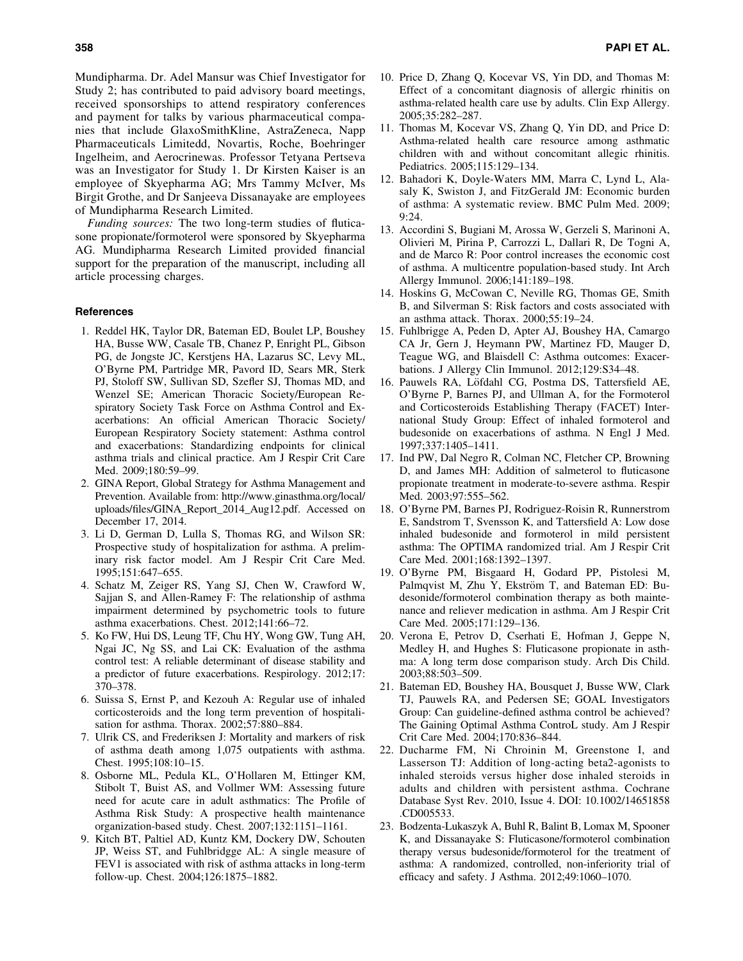Mundipharma. Dr. Adel Mansur was Chief Investigator for Study 2; has contributed to paid advisory board meetings, received sponsorships to attend respiratory conferences and payment for talks by various pharmaceutical companies that include GlaxoSmithKline, AstraZeneca, Napp Pharmaceuticals Limitedd, Novartis, Roche, Boehringer Ingelheim, and Aerocrinewas. Professor Tetyana Pertseva was an Investigator for Study 1. Dr Kirsten Kaiser is an employee of Skyepharma AG; Mrs Tammy McIver, Ms Birgit Grothe, and Dr Sanjeeva Dissanayake are employees of Mundipharma Research Limited.

*Funding sources:* The two long-term studies of fluticasone propionate/formoterol were sponsored by Skyepharma AG. Mundipharma Research Limited provided financial support for the preparation of the manuscript, including all article processing charges.

### References

- 1. Reddel HK, Taylor DR, Bateman ED, Boulet LP, Boushey HA, Busse WW, Casale TB, Chanez P, Enright PL, Gibson PG, de Jongste JC, Kerstjens HA, Lazarus SC, Levy ML, O'Byrne PM, Partridge MR, Pavord ID, Sears MR, Sterk PJ, Stoloff SW, Sullivan SD, Szefler SJ, Thomas MD, and Wenzel SE; American Thoracic Society/European Respiratory Society Task Force on Asthma Control and Exacerbations: An official American Thoracic Society/ European Respiratory Society statement: Asthma control and exacerbations: Standardizing endpoints for clinical asthma trials and clinical practice. Am J Respir Crit Care Med. 2009;180:59–99.
- 2. GINA Report, Global Strategy for Asthma Management and Prevention. Available from: http://www.ginasthma.org/local/ uploads/files/GINA\_Report\_2014\_Aug12.pdf. Accessed on December 17, 2014.
- 3. Li D, German D, Lulla S, Thomas RG, and Wilson SR: Prospective study of hospitalization for asthma. A preliminary risk factor model. Am J Respir Crit Care Med. 1995;151:647–655.
- 4. Schatz M, Zeiger RS, Yang SJ, Chen W, Crawford W, Sajjan S, and Allen-Ramey F: The relationship of asthma impairment determined by psychometric tools to future asthma exacerbations. Chest. 2012;141:66–72.
- 5. Ko FW, Hui DS, Leung TF, Chu HY, Wong GW, Tung AH, Ngai JC, Ng SS, and Lai CK: Evaluation of the asthma control test: A reliable determinant of disease stability and a predictor of future exacerbations. Respirology. 2012;17: 370–378.
- 6. Suissa S, Ernst P, and Kezouh A: Regular use of inhaled corticosteroids and the long term prevention of hospitalisation for asthma. Thorax. 2002;57:880–884.
- 7. Ulrik CS, and Frederiksen J: Mortality and markers of risk of asthma death among 1,075 outpatients with asthma. Chest. 1995;108:10–15.
- 8. Osborne ML, Pedula KL, O'Hollaren M, Ettinger KM, Stibolt T, Buist AS, and Vollmer WM: Assessing future need for acute care in adult asthmatics: The Profile of Asthma Risk Study: A prospective health maintenance organization-based study. Chest. 2007;132:1151–1161.
- 9. Kitch BT, Paltiel AD, Kuntz KM, Dockery DW, Schouten JP, Weiss ST, and Fuhlbridgge AL: A single measure of FEV1 is associated with risk of asthma attacks in long-term follow-up. Chest. 2004;126:1875–1882.
- 10. Price D, Zhang Q, Kocevar VS, Yin DD, and Thomas M: Effect of a concomitant diagnosis of allergic rhinitis on asthma-related health care use by adults. Clin Exp Allergy. 2005;35:282–287.
- 11. Thomas M, Kocevar VS, Zhang Q, Yin DD, and Price D: Asthma-related health care resource among asthmatic children with and without concomitant allegic rhinitis. Pediatrics. 2005;115:129–134.
- 12. Bahadori K, Doyle-Waters MM, Marra C, Lynd L, Alasaly K, Swiston J, and FitzGerald JM: Economic burden of asthma: A systematic review. BMC Pulm Med. 2009; 9:24.
- 13. Accordini S, Bugiani M, Arossa W, Gerzeli S, Marinoni A, Olivieri M, Pirina P, Carrozzi L, Dallari R, De Togni A, and de Marco R: Poor control increases the economic cost of asthma. A multicentre population-based study. Int Arch Allergy Immunol. 2006;141:189–198.
- 14. Hoskins G, McCowan C, Neville RG, Thomas GE, Smith B, and Silverman S: Risk factors and costs associated with an asthma attack. Thorax. 2000;55:19–24.
- 15. Fuhlbrigge A, Peden D, Apter AJ, Boushey HA, Camargo CA Jr, Gern J, Heymann PW, Martinez FD, Mauger D, Teague WG, and Blaisdell C: Asthma outcomes: Exacerbations. J Allergy Clin Immunol. 2012;129:S34–48.
- 16. Pauwels RA, Löfdahl CG, Postma DS, Tattersfield AE, O'Byrne P, Barnes PJ, and Ullman A, for the Formoterol and Corticosteroids Establishing Therapy (FACET) International Study Group: Effect of inhaled formoterol and budesonide on exacerbations of asthma. N Engl J Med. 1997;337:1405–1411.
- 17. Ind PW, Dal Negro R, Colman NC, Fletcher CP, Browning D, and James MH: Addition of salmeterol to fluticasone propionate treatment in moderate-to-severe asthma. Respir Med. 2003;97:555–562.
- 18. O'Byrne PM, Barnes PJ, Rodriguez-Roisin R, Runnerstrom E, Sandstrom T, Svensson K, and Tattersfield A: Low dose inhaled budesonide and formoterol in mild persistent asthma: The OPTIMA randomized trial. Am J Respir Crit Care Med. 2001;168:1392–1397.
- 19. O'Byrne PM, Bisgaard H, Godard PP, Pistolesi M, Palmqvist M, Zhu Y, Ekström T, and Bateman ED: Budesonide/formoterol combination therapy as both maintenance and reliever medication in asthma. Am J Respir Crit Care Med. 2005;171:129–136.
- 20. Verona E, Petrov D, Cserhati E, Hofman J, Geppe N, Medley H, and Hughes S: Fluticasone propionate in asthma: A long term dose comparison study. Arch Dis Child. 2003;88:503–509.
- 21. Bateman ED, Boushey HA, Bousquet J, Busse WW, Clark TJ, Pauwels RA, and Pedersen SE; GOAL Investigators Group: Can guideline-defined asthma control be achieved? The Gaining Optimal Asthma ControL study. Am J Respir Crit Care Med. 2004;170:836–844.
- 22. Ducharme FM, Ni Chroinin M, Greenstone I, and Lasserson TJ: Addition of long-acting beta2-agonists to inhaled steroids versus higher dose inhaled steroids in adults and children with persistent asthma. Cochrane Database Syst Rev. 2010, Issue 4. DOI: 10.1002/14651858 .CD005533.
- 23. Bodzenta-Lukaszyk A, Buhl R, Balint B, Lomax M, Spooner K, and Dissanayake S: Fluticasone/formoterol combination therapy versus budesonide/formoterol for the treatment of asthma: A randomized, controlled, non-inferiority trial of efficacy and safety. J Asthma. 2012;49:1060–1070.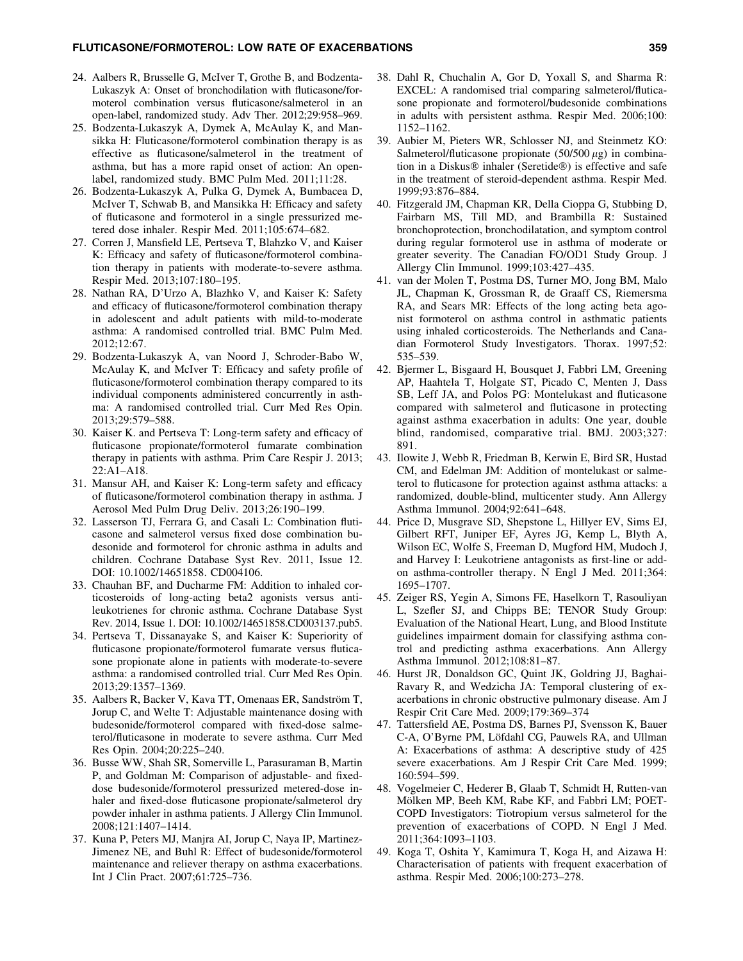## FLUTICASONE/FORMOTEROL: LOW RATE OF EXACERBATIONS 359

- 24. Aalbers R, Brusselle G, McIver T, Grothe B, and Bodzenta-Lukaszyk A: Onset of bronchodilation with fluticasone/formoterol combination versus fluticasone/salmeterol in an open-label, randomized study. Adv Ther. 2012;29:958–969.
- 25. Bodzenta-Lukaszyk A, Dymek A, McAulay K, and Mansikka H: Fluticasone/formoterol combination therapy is as effective as fluticasone/salmeterol in the treatment of asthma, but has a more rapid onset of action: An openlabel, randomized study. BMC Pulm Med. 2011;11:28.
- 26. Bodzenta-Lukaszyk A, Pulka G, Dymek A, Bumbacea D, McIver T, Schwab B, and Mansikka H: Efficacy and safety of fluticasone and formoterol in a single pressurized metered dose inhaler. Respir Med. 2011;105:674–682.
- 27. Corren J, Mansfield LE, Pertseva T, Blahzko V, and Kaiser K: Efficacy and safety of fluticasone/formoterol combination therapy in patients with moderate-to-severe asthma. Respir Med. 2013;107:180–195.
- 28. Nathan RA, D'Urzo A, Blazhko V, and Kaiser K: Safety and efficacy of fluticasone/formoterol combination therapy in adolescent and adult patients with mild-to-moderate asthma: A randomised controlled trial. BMC Pulm Med. 2012;12:67.
- 29. Bodzenta-Lukaszyk A, van Noord J, Schroder-Babo W, McAulay K, and McIver T: Efficacy and safety profile of fluticasone/formoterol combination therapy compared to its individual components administered concurrently in asthma: A randomised controlled trial. Curr Med Res Opin. 2013;29:579–588.
- 30. Kaiser K. and Pertseva T: Long-term safety and efficacy of fluticasone propionate/formoterol fumarate combination therapy in patients with asthma. Prim Care Respir J. 2013; 22:A1–A18.
- 31. Mansur AH, and Kaiser K: Long-term safety and efficacy of fluticasone/formoterol combination therapy in asthma. J Aerosol Med Pulm Drug Deliv. 2013;26:190–199.
- 32. Lasserson TJ, Ferrara G, and Casali L: Combination fluticasone and salmeterol versus fixed dose combination budesonide and formoterol for chronic asthma in adults and children. Cochrane Database Syst Rev. 2011, Issue 12. DOI: 10.1002/14651858. CD004106.
- 33. Chauhan BF, and Ducharme FM: Addition to inhaled corticosteroids of long-acting beta2 agonists versus antileukotrienes for chronic asthma. Cochrane Database Syst Rev. 2014, Issue 1. DOI: 10.1002/14651858.CD003137.pub5.
- 34. Pertseva T, Dissanayake S, and Kaiser K: Superiority of fluticasone propionate/formoterol fumarate versus fluticasone propionate alone in patients with moderate-to-severe asthma: a randomised controlled trial. Curr Med Res Opin. 2013;29:1357–1369.
- 35. Aalbers R, Backer V, Kava TT, Omenaas ER, Sandström T, Jorup C, and Welte T: Adjustable maintenance dosing with budesonide/formoterol compared with fixed-dose salmeterol/fluticasone in moderate to severe asthma. Curr Med Res Opin. 2004;20:225–240.
- 36. Busse WW, Shah SR, Somerville L, Parasuraman B, Martin P, and Goldman M: Comparison of adjustable- and fixeddose budesonide/formoterol pressurized metered-dose inhaler and fixed-dose fluticasone propionate/salmeterol dry powder inhaler in asthma patients. J Allergy Clin Immunol. 2008;121:1407–1414.
- 37. Kuna P, Peters MJ, Manjra AI, Jorup C, Naya IP, Martinez-Jimenez NE, and Buhl R: Effect of budesonide/formoterol maintenance and reliever therapy on asthma exacerbations. Int J Clin Pract. 2007;61:725–736.
- 38. Dahl R, Chuchalin A, Gor D, Yoxall S, and Sharma R: EXCEL: A randomised trial comparing salmeterol/fluticasone propionate and formoterol/budesonide combinations in adults with persistent asthma. Respir Med. 2006;100: 1152–1162.
- 39. Aubier M, Pieters WR, Schlosser NJ, and Steinmetz KO: Salmeterol/fluticasone propionate  $(50/500 \,\mu$ g) in combination in a Diskus® inhaler (Seretide®) is effective and safe in the treatment of steroid-dependent asthma. Respir Med. 1999;93:876–884.
- 40. Fitzgerald JM, Chapman KR, Della Cioppa G, Stubbing D, Fairbarn MS, Till MD, and Brambilla R: Sustained bronchoprotection, bronchodilatation, and symptom control during regular formoterol use in asthma of moderate or greater severity. The Canadian FO/OD1 Study Group. J Allergy Clin Immunol. 1999;103:427–435.
- 41. van der Molen T, Postma DS, Turner MO, Jong BM, Malo JL, Chapman K, Grossman R, de Graaff CS, Riemersma RA, and Sears MR: Effects of the long acting beta agonist formoterol on asthma control in asthmatic patients using inhaled corticosteroids. The Netherlands and Canadian Formoterol Study Investigators. Thorax. 1997;52: 535–539.
- 42. Bjermer L, Bisgaard H, Bousquet J, Fabbri LM, Greening AP, Haahtela T, Holgate ST, Picado C, Menten J, Dass SB, Leff JA, and Polos PG: Montelukast and fluticasone compared with salmeterol and fluticasone in protecting against asthma exacerbation in adults: One year, double blind, randomised, comparative trial. BMJ. 2003;327: 891.
- 43. Ilowite J, Webb R, Friedman B, Kerwin E, Bird SR, Hustad CM, and Edelman JM: Addition of montelukast or salmeterol to fluticasone for protection against asthma attacks: a randomized, double-blind, multicenter study. Ann Allergy Asthma Immunol. 2004;92:641–648.
- 44. Price D, Musgrave SD, Shepstone L, Hillyer EV, Sims EJ, Gilbert RFT, Juniper EF, Ayres JG, Kemp L, Blyth A, Wilson EC, Wolfe S, Freeman D, Mugford HM, Mudoch J, and Harvey I: Leukotriene antagonists as first-line or addon asthma-controller therapy. N Engl J Med. 2011;364: 1695–1707.
- 45. Zeiger RS, Yegin A, Simons FE, Haselkorn T, Rasouliyan L, Szefler SJ, and Chipps BE; TENOR Study Group: Evaluation of the National Heart, Lung, and Blood Institute guidelines impairment domain for classifying asthma control and predicting asthma exacerbations. Ann Allergy Asthma Immunol. 2012;108:81–87.
- 46. Hurst JR, Donaldson GC, Quint JK, Goldring JJ, Baghai-Ravary R, and Wedzicha JA: Temporal clustering of exacerbations in chronic obstructive pulmonary disease. Am J Respir Crit Care Med. 2009;179:369–374
- 47. Tattersfield AE, Postma DS, Barnes PJ, Svensson K, Bauer C-A, O'Byrne PM, Löfdahl CG, Pauwels RA, and Ullman A: Exacerbations of asthma: A descriptive study of 425 severe exacerbations. Am J Respir Crit Care Med. 1999; 160:594–599.
- 48. Vogelmeier C, Hederer B, Glaab T, Schmidt H, Rutten-van Mölken MP, Beeh KM, Rabe KF, and Fabbri LM; POET-COPD Investigators: Tiotropium versus salmeterol for the prevention of exacerbations of COPD. N Engl J Med. 2011;364:1093–1103.
- 49. Koga T, Oshita Y, Kamimura T, Koga H, and Aizawa H: Characterisation of patients with frequent exacerbation of asthma. Respir Med. 2006;100:273–278.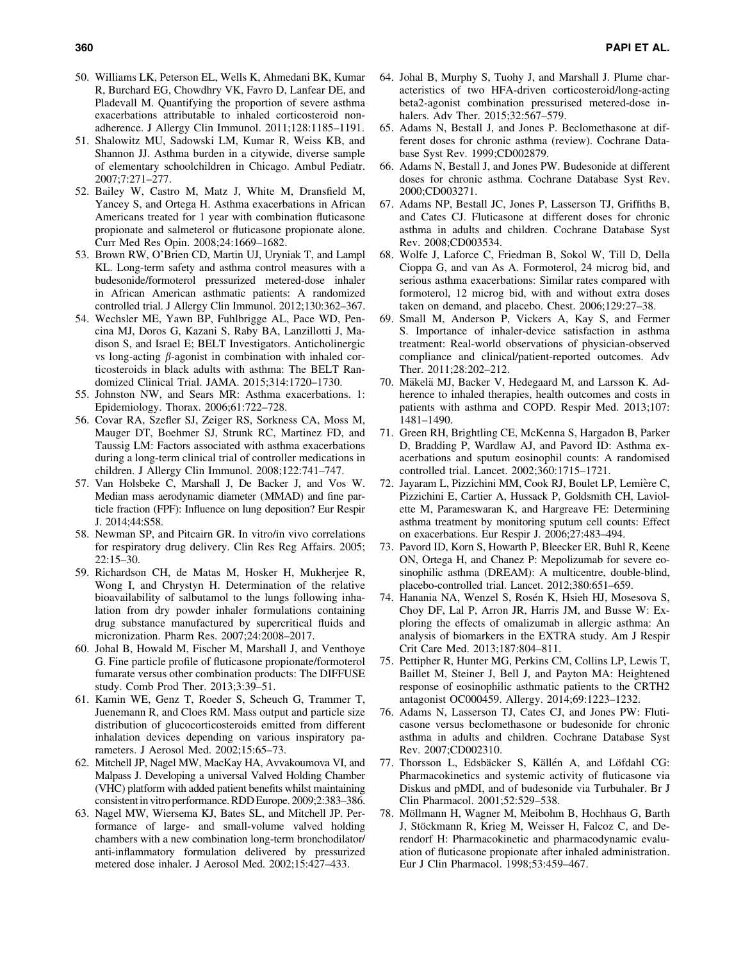- 50. Williams LK, Peterson EL, Wells K, Ahmedani BK, Kumar R, Burchard EG, Chowdhry VK, Favro D, Lanfear DE, and Pladevall M. Quantifying the proportion of severe asthma exacerbations attributable to inhaled corticosteroid nonadherence. J Allergy Clin Immunol. 2011;128:1185–1191.
- 51. Shalowitz MU, Sadowski LM, Kumar R, Weiss KB, and Shannon JJ. Asthma burden in a citywide, diverse sample of elementary schoolchildren in Chicago. Ambul Pediatr. 2007;7:271–277.
- 52. Bailey W, Castro M, Matz J, White M, Dransfield M, Yancey S, and Ortega H. Asthma exacerbations in African Americans treated for 1 year with combination fluticasone propionate and salmeterol or fluticasone propionate alone. Curr Med Res Opin. 2008;24:1669–1682.
- 53. Brown RW, O'Brien CD, Martin UJ, Uryniak T, and Lampl KL. Long-term safety and asthma control measures with a budesonide/formoterol pressurized metered-dose inhaler in African American asthmatic patients: A randomized controlled trial. J Allergy Clin Immunol. 2012;130:362–367.
- 54. Wechsler ME, Yawn BP, Fuhlbrigge AL, Pace WD, Pencina MJ, Doros G, Kazani S, Raby BA, Lanzillotti J, Madison S, and Israel E; BELT Investigators. Anticholinergic vs long-acting  $\beta$ -agonist in combination with inhaled corticosteroids in black adults with asthma: The BELT Randomized Clinical Trial. JAMA. 2015;314:1720–1730.
- 55. Johnston NW, and Sears MR: Asthma exacerbations. 1: Epidemiology. Thorax. 2006;61:722–728.
- 56. Covar RA, Szefler SJ, Zeiger RS, Sorkness CA, Moss M, Mauger DT, Boehmer SJ, Strunk RC, Martinez FD, and Taussig LM: Factors associated with asthma exacerbations during a long-term clinical trial of controller medications in children. J Allergy Clin Immunol. 2008;122:741–747.
- 57. Van Holsbeke C, Marshall J, De Backer J, and Vos W. Median mass aerodynamic diameter (MMAD) and fine particle fraction (FPF): Influence on lung deposition? Eur Respir J. 2014;44:S58.
- 58. Newman SP, and Pitcairn GR. In vitro/in vivo correlations for respiratory drug delivery. Clin Res Reg Affairs. 2005; 22:15–30.
- 59. Richardson CH, de Matas M, Hosker H, Mukherjee R, Wong I, and Chrystyn H. Determination of the relative bioavailability of salbutamol to the lungs following inhalation from dry powder inhaler formulations containing drug substance manufactured by supercritical fluids and micronization. Pharm Res. 2007;24:2008–2017.
- 60. Johal B, Howald M, Fischer M, Marshall J, and Venthoye G. Fine particle profile of fluticasone propionate/formoterol fumarate versus other combination products: The DIFFUSE study. Comb Prod Ther. 2013;3:39–51.
- 61. Kamin WE, Genz T, Roeder S, Scheuch G, Trammer T, Juenemann R, and Cloes RM. Mass output and particle size distribution of glucocorticosteroids emitted from different inhalation devices depending on various inspiratory parameters. J Aerosol Med. 2002;15:65–73.
- 62. Mitchell JP, Nagel MW, MacKay HA, Avvakoumova VI, and Malpass J. Developing a universal Valved Holding Chamber (VHC) platform with added patient benefits whilst maintaining consistentin vitro performance. RDD Europe. 2009;2:383–386.
- 63. Nagel MW, Wiersema KJ, Bates SL, and Mitchell JP. Performance of large- and small-volume valved holding chambers with a new combination long-term bronchodilator/ anti-inflammatory formulation delivered by pressurized metered dose inhaler. J Aerosol Med. 2002;15:427–433.
- 64. Johal B, Murphy S, Tuohy J, and Marshall J. Plume characteristics of two HFA-driven corticosteroid/long-acting beta2-agonist combination pressurised metered-dose inhalers. Adv Ther. 2015;32:567–579.
- 65. Adams N, Bestall J, and Jones P. Beclomethasone at different doses for chronic asthma (review). Cochrane Database Syst Rev. 1999;CD002879.
- 66. Adams N, Bestall J, and Jones PW. Budesonide at different doses for chronic asthma. Cochrane Database Syst Rev. 2000;CD003271.
- 67. Adams NP, Bestall JC, Jones P, Lasserson TJ, Griffiths B, and Cates CJ. Fluticasone at different doses for chronic asthma in adults and children. Cochrane Database Syst Rev. 2008;CD003534.
- 68. Wolfe J, Laforce C, Friedman B, Sokol W, Till D, Della Cioppa G, and van As A. Formoterol, 24 microg bid, and serious asthma exacerbations: Similar rates compared with formoterol, 12 microg bid, with and without extra doses taken on demand, and placebo. Chest. 2006;129:27–38.
- 69. Small M, Anderson P, Vickers A, Kay S, and Fermer S. Importance of inhaler-device satisfaction in asthma treatment: Real-world observations of physician-observed compliance and clinical/patient-reported outcomes. Adv Ther. 2011;28:202–212.
- 70. Mäkelä MJ, Backer V, Hedegaard M, and Larsson K. Adherence to inhaled therapies, health outcomes and costs in patients with asthma and COPD. Respir Med. 2013;107: 1481–1490.
- 71. Green RH, Brightling CE, McKenna S, Hargadon B, Parker D, Bradding P, Wardlaw AJ, and Pavord ID: Asthma exacerbations and sputum eosinophil counts: A randomised controlled trial. Lancet. 2002;360:1715–1721.
- 72. Jayaram L, Pizzichini MM, Cook RJ, Boulet LP, Lemière C, Pizzichini E, Cartier A, Hussack P, Goldsmith CH, Laviolette M, Parameswaran K, and Hargreave FE: Determining asthma treatment by monitoring sputum cell counts: Effect on exacerbations. Eur Respir J. 2006;27:483–494.
- 73. Pavord ID, Korn S, Howarth P, Bleecker ER, Buhl R, Keene ON, Ortega H, and Chanez P: Mepolizumab for severe eosinophilic asthma (DREAM): A multicentre, double-blind, placebo-controlled trial. Lancet. 2012;380:651–659.
- 74. Hanania NA, Wenzel S, Rosén K, Hsieh HJ, Mosesova S, Choy DF, Lal P, Arron JR, Harris JM, and Busse W: Exploring the effects of omalizumab in allergic asthma: An analysis of biomarkers in the EXTRA study. Am J Respir Crit Care Med. 2013;187:804–811.
- 75. Pettipher R, Hunter MG, Perkins CM, Collins LP, Lewis T, Baillet M, Steiner J, Bell J, and Payton MA: Heightened response of eosinophilic asthmatic patients to the CRTH2 antagonist OC000459. Allergy. 2014;69:1223–1232.
- 76. Adams N, Lasserson TJ, Cates CJ, and Jones PW: Fluticasone versus beclomethasone or budesonide for chronic asthma in adults and children. Cochrane Database Syst Rev. 2007;CD002310.
- 77. Thorsson L, Edsbäcker S, Källén A, and Löfdahl CG: Pharmacokinetics and systemic activity of fluticasone via Diskus and pMDI, and of budesonide via Turbuhaler. Br J Clin Pharmacol. 2001;52:529–538.
- 78. Möllmann H, Wagner M, Meibohm B, Hochhaus G, Barth J, Stöckmann R, Krieg M, Weisser H, Falcoz C, and Derendorf H: Pharmacokinetic and pharmacodynamic evaluation of fluticasone propionate after inhaled administration. Eur J Clin Pharmacol. 1998;53:459–467.